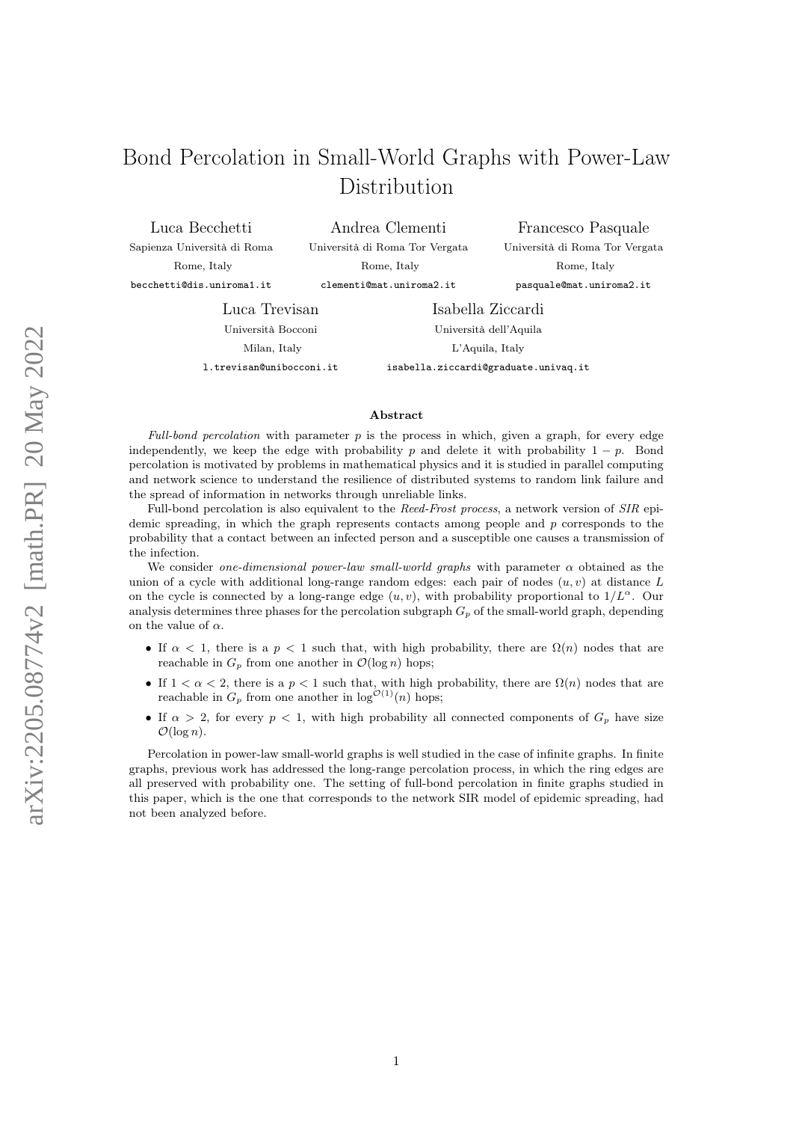# Bond Percolation in Small-World Graphs with Power-Law Distribution

Luca Becchetti

Sapienza Università di Roma Rome, Italy

Andrea Clementi Università di Roma Tor Vergata Rome, Italy clementi@mat.uniroma2.it

becchetti@dis.uniroma1.it

Francesco Pasquale Università di Roma Tor Vergata Rome, Italy pasquale@mat.uniroma2.it

Luca Trevisan

Università Bocconi Milan, Italy

l.trevisan@unibocconi.it

Isabella Ziccardi Università dell'Aquila L'Aquila, Italy isabella.ziccardi@graduate.univaq.it

#### Abstract

Full-bond percolation with parameter  $p$  is the process in which, given a graph, for every edge independently, we keep the edge with probability p and delete it with probability  $1 - p$ . Bond percolation is motivated by problems in mathematical physics and it is studied in parallel computing and network science to understand the resilience of distributed systems to random link failure and the spread of information in networks through unreliable links.

Full-bond percolation is also equivalent to the Reed-Frost process, a network version of SIR epidemic spreading, in which the graph represents contacts among people and  $p$  corresponds to the probability that a contact between an infected person and a susceptible one causes a transmission of the infection.

We consider one-dimensional power-law small-world graphs with parameter  $\alpha$  obtained as the union of a cycle with additional long-range random edges: each pair of nodes  $(u, v)$  at distance L on the cycle is connected by a long-range edge  $(u, v)$ , with probability proportional to  $1/L^{\alpha}$ . Our analysis determines three phases for the percolation subgraph  $G_p$  of the small-world graph, depending on the value of  $\alpha$ .

- If  $\alpha$  < 1, there is a  $p \le 1$  such that, with high probability, there are  $\Omega(n)$  nodes that are reachable in  $G_p$  from one another in  $\mathcal{O}(\log n)$  hops;
- If  $1 < \alpha < 2$ , there is a  $p < 1$  such that, with high probability, there are  $\Omega(n)$  nodes that are reachable in  $G_p$  from one another in  $\log^{O(1)}(n)$  hops;
- If  $\alpha > 2$ , for every  $p < 1$ , with high probability all connected components of  $G_p$  have size  $\mathcal{O}(\log n)$ .

Percolation in power-law small-world graphs is well studied in the case of infinite graphs. In finite graphs, previous work has addressed the long-range percolation process, in which the ring edges are all preserved with probability one. The setting of full-bond percolation in finite graphs studied in this paper, which is the one that corresponds to the network SIR model of epidemic spreading, had not been analyzed before.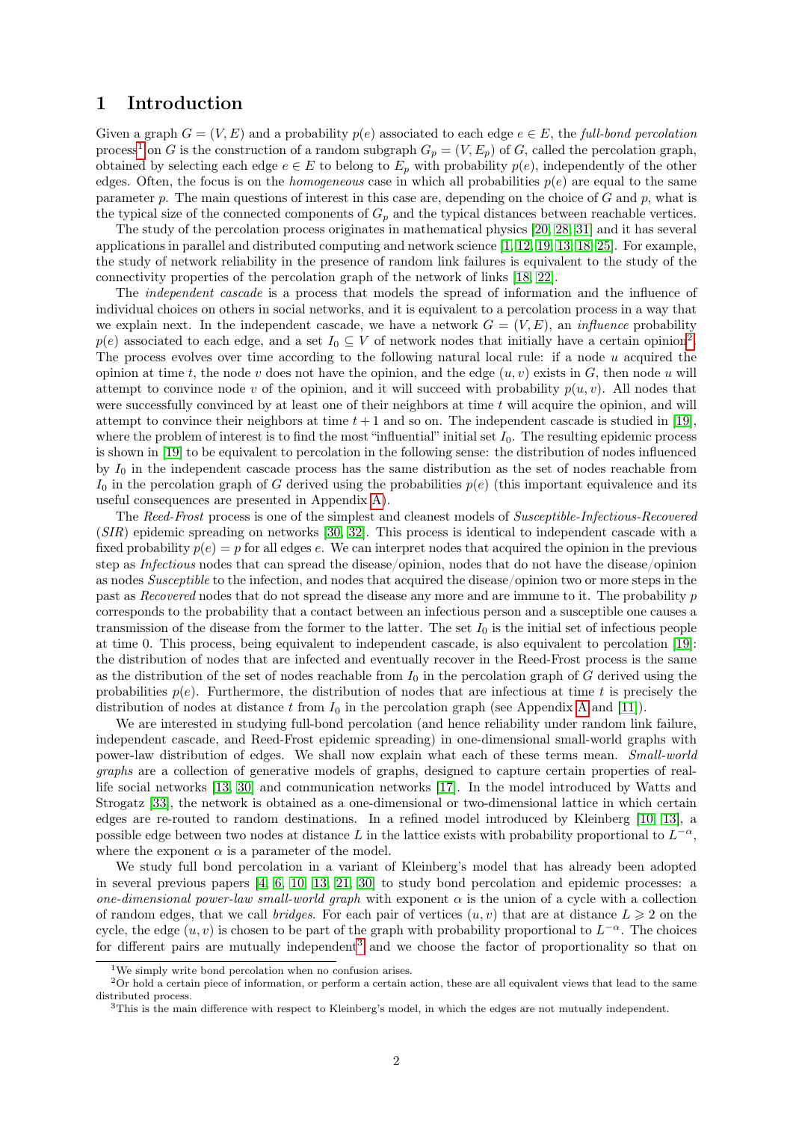### 1 Introduction

Given a graph  $G = (V, E)$  and a probability  $p(e)$  associated to each edge  $e \in E$ , the full-bond percolation process<sup>[1](#page-1-0)</sup> on G is the construction of a random subgraph  $G_p = (V, E_p)$  of G, called the percolation graph, obtained by selecting each edge  $e \in E$  to belong to  $E_p$  with probability  $p(e)$ , independently of the other edges. Often, the focus is on the *homogeneous* case in which all probabilities  $p(e)$  are equal to the same parameter p. The main questions of interest in this case are, depending on the choice of  $G$  and p, what is the typical size of the connected components of  $G_p$  and the typical distances between reachable vertices.

The study of the percolation process originates in mathematical physics [\[20,](#page-16-0) [28,](#page-16-1) [31\]](#page-16-2) and it has several applications in parallel and distributed computing and network science [\[1,](#page-15-0) [12,](#page-15-1) [19,](#page-16-3) [13,](#page-15-2) [18,](#page-16-4) [25\]](#page-16-5). For example, the study of network reliability in the presence of random link failures is equivalent to the study of the connectivity properties of the percolation graph of the network of links [\[18,](#page-16-4) [22\]](#page-16-6).

The *independent cascade* is a process that models the spread of information and the influence of individual choices on others in social networks, and it is equivalent to a percolation process in a way that we explain next. In the independent cascade, we have a network  $G = (V, E)$ , an *influence* probability  $p(e)$  associated to each edge, and a set  $I_0 \subseteq V$  of network nodes that initially have a certain opinion<sup>[2](#page-1-1)</sup>. The process evolves over time according to the following natural local rule: if a node u acquired the opinion at time t, the node v does not have the opinion, and the edge  $(u, v)$  exists in G, then node u will attempt to convince node v of the opinion, and it will succeed with probability  $p(u, v)$ . All nodes that were successfully convinced by at least one of their neighbors at time  $t$  will acquire the opinion, and will attempt to convince their neighbors at time  $t + 1$  and so on. The independent cascade is studied in [\[19\]](#page-16-3), where the problem of interest is to find the most "influential" initial set  $I_0$ . The resulting epidemic process is shown in [\[19\]](#page-16-3) to be equivalent to percolation in the following sense: the distribution of nodes influenced by  $I_0$  in the independent cascade process has the same distribution as the set of nodes reachable from  $I_0$  in the percolation graph of G derived using the probabilities  $p(e)$  (this important equivalence and its useful consequences are presented in Appendix [A\)](#page-17-0).

The Reed-Frost process is one of the simplest and cleanest models of Susceptible-Infectious-Recovered (SIR) epidemic spreading on networks [\[30,](#page-16-7) [32\]](#page-16-8). This process is identical to independent cascade with a fixed probability  $p(e) = p$  for all edges e. We can interpret nodes that acquired the opinion in the previous step as Infectious nodes that can spread the disease/opinion, nodes that do not have the disease/opinion as nodes Susceptible to the infection, and nodes that acquired the disease/opinion two or more steps in the past as Recovered nodes that do not spread the disease any more and are immune to it. The probability p corresponds to the probability that a contact between an infectious person and a susceptible one causes a transmission of the disease from the former to the latter. The set  $I_0$  is the initial set of infectious people at time 0. This process, being equivalent to independent cascade, is also equivalent to percolation [\[19\]](#page-16-3): the distribution of nodes that are infected and eventually recover in the Reed-Frost process is the same as the distribution of the set of nodes reachable from  $I_0$  in the percolation graph of G derived using the probabilities  $p(e)$ . Furthermore, the distribution of nodes that are infectious at time t is precisely the distribution of nodes at distance t from  $I_0$  in the percolation graph (see [A](#page-17-0)ppendix A and [\[11\]](#page-15-3)).

We are interested in studying full-bond percolation (and hence reliability under random link failure, independent cascade, and Reed-Frost epidemic spreading) in one-dimensional small-world graphs with power-law distribution of edges. We shall now explain what each of these terms mean. Small-world graphs are a collection of generative models of graphs, designed to capture certain properties of reallife social networks [\[13,](#page-15-2) [30\]](#page-16-7) and communication networks [\[17\]](#page-16-9). In the model introduced by Watts and Strogatz [\[33\]](#page-16-10), the network is obtained as a one-dimensional or two-dimensional lattice in which certain edges are re-routed to random destinations. In a refined model introduced by Kleinberg [\[10,](#page-15-4) [13\]](#page-15-2), a possible edge between two nodes at distance L in the lattice exists with probability proportional to  $L^{-\alpha}$ , where the exponent  $\alpha$  is a parameter of the model.

We study full bond percolation in a variant of Kleinberg's model that has already been adopted in several previous papers [\[4,](#page-15-5) [6,](#page-15-6) [10,](#page-15-4) [13,](#page-15-2) [21,](#page-16-11) [30\]](#page-16-7) to study bond percolation and epidemic processes: a one-dimensional power-law small-world graph with exponent  $\alpha$  is the union of a cycle with a collection of random edges, that we call *bridges*. For each pair of vertices  $(u, v)$  that are at distance  $L \geq 2$  on the cycle, the edge  $(u, v)$  is chosen to be part of the graph with probability proportional to  $L^{-\alpha}$ . The choices for different pairs are mutually independent<sup>[3](#page-1-2)</sup> and we choose the factor of proportionality so that on

<span id="page-1-1"></span><span id="page-1-0"></span><sup>&</sup>lt;sup>1</sup>We simply write bond percolation when no confusion arises.

<sup>2</sup>Or hold a certain piece of information, or perform a certain action, these are all equivalent views that lead to the same distributed process.

<span id="page-1-2"></span><sup>3</sup>This is the main difference with respect to Kleinberg's model, in which the edges are not mutually independent.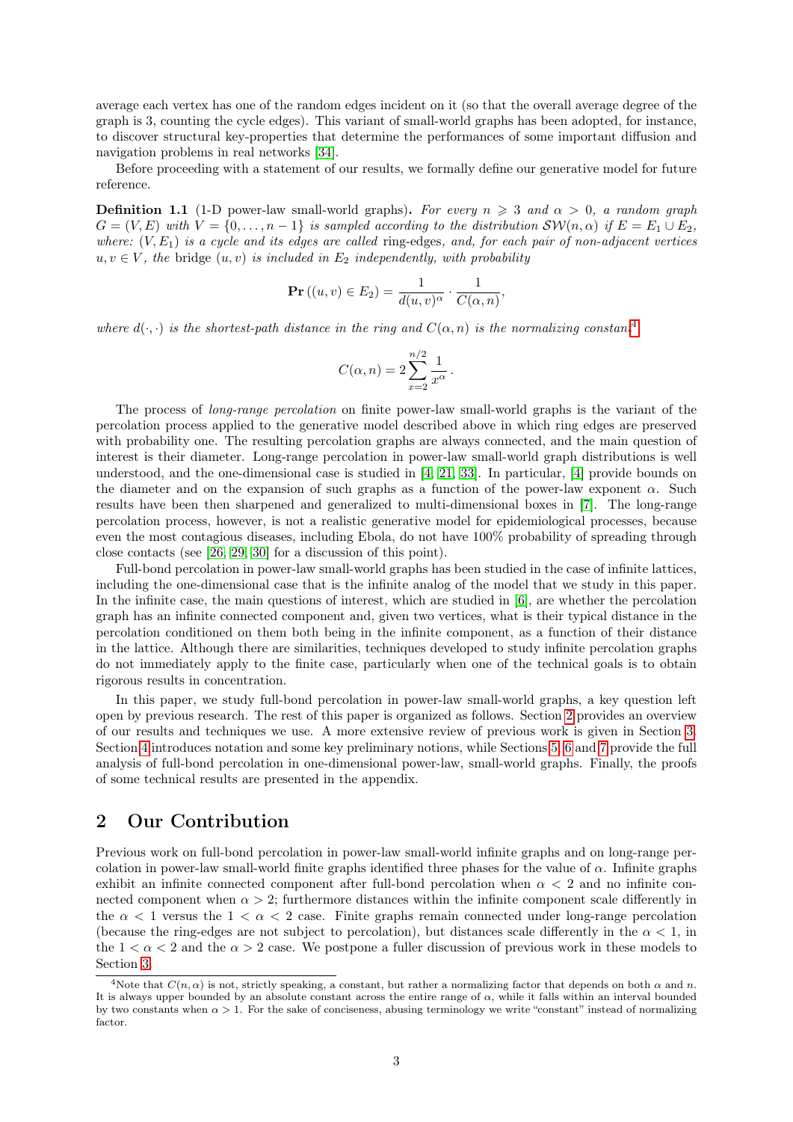average each vertex has one of the random edges incident on it (so that the overall average degree of the graph is 3, counting the cycle edges). This variant of small-world graphs has been adopted, for instance, to discover structural key-properties that determine the performances of some important diffusion and navigation problems in real networks [\[34\]](#page-16-12).

Before proceeding with a statement of our results, we formally define our generative model for future reference.

<span id="page-2-2"></span>**Definition 1.1** (1-D power-law small-world graphs). For every  $n \geq 3$  and  $\alpha > 0$ , a random graph  $G = (V, E)$  with  $V = \{0, \ldots, n-1\}$  is sampled according to the distribution  $\mathcal{SW}(n, \alpha)$  if  $E = E_1 \cup E_2$ , where:  $(V, E_1)$  is a cycle and its edges are called ring-edges, and, for each pair of non-adjacent vertices  $u, v \in V$ , the bridge  $(u, v)$  is included in  $E_2$  independently, with probability

$$
\mathbf{Pr}\left((u,v)\in E_2\right) = \frac{1}{d(u,v)^{\alpha}} \cdot \frac{1}{C(\alpha,n)},
$$

where  $d(\cdot, \cdot)$  is the shortest-path distance in the ring and  $C(\alpha, n)$  is the normalizing constant<sup>[4](#page-2-0)</sup>

$$
C(\alpha, n) = 2 \sum_{x=2}^{n/2} \frac{1}{x^{\alpha}}.
$$

The process of long-range percolation on finite power-law small-world graphs is the variant of the percolation process applied to the generative model described above in which ring edges are preserved with probability one. The resulting percolation graphs are always connected, and the main question of interest is their diameter. Long-range percolation in power-law small-world graph distributions is well understood, and the one-dimensional case is studied in [\[4,](#page-15-5) [21,](#page-16-11) [33\]](#page-16-10). In particular, [\[4\]](#page-15-5) provide bounds on the diameter and on the expansion of such graphs as a function of the power-law exponent  $\alpha$ . Such results have been then sharpened and generalized to multi-dimensional boxes in [\[7\]](#page-15-7). The long-range percolation process, however, is not a realistic generative model for epidemiological processes, because even the most contagious diseases, including Ebola, do not have 100% probability of spreading through close contacts (see [\[26,](#page-16-13) [29,](#page-16-14) [30\]](#page-16-7) for a discussion of this point).

Full-bond percolation in power-law small-world graphs has been studied in the case of infinite lattices, including the one-dimensional case that is the infinite analog of the model that we study in this paper. In the infinite case, the main questions of interest, which are studied in [\[6\]](#page-15-6), are whether the percolation graph has an infinite connected component and, given two vertices, what is their typical distance in the percolation conditioned on them both being in the infinite component, as a function of their distance in the lattice. Although there are similarities, techniques developed to study infinite percolation graphs do not immediately apply to the finite case, particularly when one of the technical goals is to obtain rigorous results in concentration.

In this paper, we study full-bond percolation in power-law small-world graphs, a key question left open by previous research. The rest of this paper is organized as follows. Section [2](#page-2-1) provides an overview of our results and techniques we use. A more extensive review of previous work is given in Section [3.](#page-6-0) Section [4](#page-7-0) introduces notation and some key preliminary notions, while Sections [5,](#page-8-0) [6](#page-11-0) and [7](#page-14-0) provide the full analysis of full-bond percolation in one-dimensional power-law, small-world graphs. Finally, the proofs of some technical results are presented in the appendix.

### <span id="page-2-1"></span>2 Our Contribution

Previous work on full-bond percolation in power-law small-world infinite graphs and on long-range percolation in power-law small-world finite graphs identified three phases for the value of  $\alpha$ . Infinite graphs exhibit an infinite connected component after full-bond percolation when  $\alpha < 2$  and no infinite connected component when  $\alpha > 2$ ; furthermore distances within the infinite component scale differently in the  $\alpha$  < 1 versus the  $1 < \alpha < 2$  case. Finite graphs remain connected under long-range percolation (because the ring-edges are not subject to percolation), but distances scale differently in the  $\alpha < 1$ , in the  $1 < \alpha < 2$  and the  $\alpha > 2$  case. We postpone a fuller discussion of previous work in these models to Section [3.](#page-6-0)

<span id="page-2-0"></span><sup>&</sup>lt;sup>4</sup>Note that  $C(n, \alpha)$  is not, strictly speaking, a constant, but rather a normalizing factor that depends on both  $\alpha$  and n. It is always upper bounded by an absolute constant across the entire range of  $\alpha$ , while it falls within an interval bounded by two constants when  $\alpha > 1$ . For the sake of conciseness, abusing terminology we write "constant" instead of normalizing factor.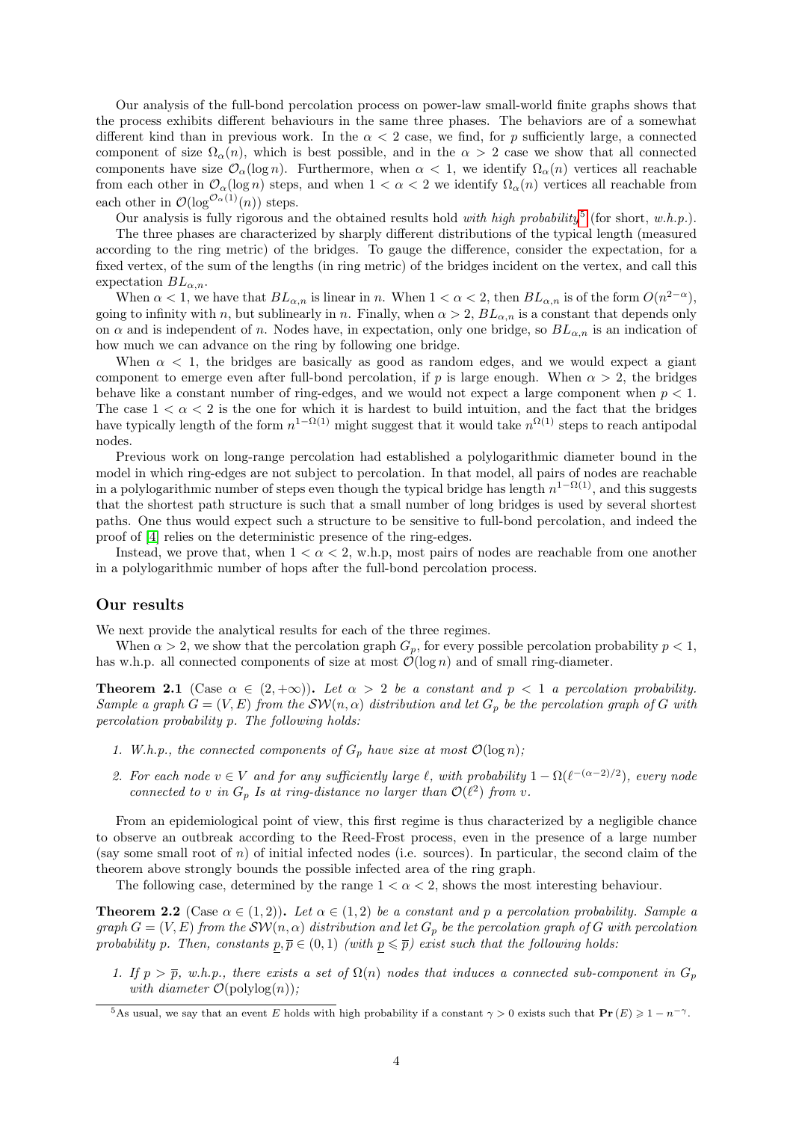Our analysis of the full-bond percolation process on power-law small-world finite graphs shows that the process exhibits different behaviours in the same three phases. The behaviors are of a somewhat different kind than in previous work. In the  $\alpha < 2$  case, we find, for p sufficiently large, a connected component of size  $\Omega_{\alpha}(n)$ , which is best possible, and in the  $\alpha > 2$  case we show that all connected components have size  $\mathcal{O}_{\alpha}(\log n)$ . Furthermore, when  $\alpha < 1$ , we identify  $\Omega_{\alpha}(n)$  vertices all reachable from each other in  $\mathcal{O}_{\alpha}(\log n)$  steps, and when  $1 < \alpha < 2$  we identify  $\Omega_{\alpha}(n)$  vertices all reachable from each other in  $\mathcal{O}(\log^{\mathcal{O}_{\alpha}(1)}(n))$  steps.

Our analysis is fully rigorous and the obtained results hold with high probability<sup>[5](#page-3-0)</sup> (for short, w.h.p.).

The three phases are characterized by sharply different distributions of the typical length (measured according to the ring metric) of the bridges. To gauge the difference, consider the expectation, for a fixed vertex, of the sum of the lengths (in ring metric) of the bridges incident on the vertex, and call this expectation  $BL_{\alpha,n}$ .

When  $\alpha < 1$ , we have that  $BL_{\alpha,n}$  is linear in n. When  $1 < \alpha < 2$ , then  $BL_{\alpha,n}$  is of the form  $O(n^{2-\alpha})$ , going to infinity with n, but sublinearly in n. Finally, when  $\alpha > 2$ ,  $BL_{\alpha,n}$  is a constant that depends only on  $\alpha$  and is independent of n. Nodes have, in expectation, only one bridge, so  $BL_{\alpha,n}$  is an indication of how much we can advance on the ring by following one bridge.

When  $\alpha$  < 1, the bridges are basically as good as random edges, and we would expect a giant component to emerge even after full-bond percolation, if p is large enough. When  $\alpha > 2$ , the bridges behave like a constant number of ring-edges, and we would not expect a large component when  $p < 1$ . The case  $1 < \alpha < 2$  is the one for which it is hardest to build intuition, and the fact that the bridges have typically length of the form  $n^{1-\Omega(1)}$  might suggest that it would take  $n^{\Omega(1)}$  steps to reach antipodal nodes.

Previous work on long-range percolation had established a polylogarithmic diameter bound in the model in which ring-edges are not subject to percolation. In that model, all pairs of nodes are reachable in a polylogarithmic number of steps even though the typical bridge has length  $n^{1-\Omega(1)}$ , and this suggests that the shortest path structure is such that a small number of long bridges is used by several shortest paths. One thus would expect such a structure to be sensitive to full-bond percolation, and indeed the proof of [\[4\]](#page-15-5) relies on the deterministic presence of the ring-edges.

Instead, we prove that, when  $1 < \alpha < 2$ , w.h.p, most pairs of nodes are reachable from one another in a polylogarithmic number of hops after the full-bond percolation process.

#### Our results

We next provide the analytical results for each of the three regimes.

When  $\alpha > 2$ , we show that the percolation graph  $G_p$ , for every possible percolation probability  $p < 1$ , has w.h.p. all connected components of size at most  $\mathcal{O}(\log n)$  and of small ring-diameter.

<span id="page-3-1"></span>**Theorem 2.1** (Case  $\alpha \in (2, +\infty)$ ). Let  $\alpha > 2$  be a constant and  $p < 1$  a percolation probability. Sample a graph  $G = (V, E)$  from the  $\mathcal{SW}(n, \alpha)$  distribution and let  $G_p$  be the percolation graph of G with percolation probability p. The following holds:

- 1. W.h.p., the connected components of  $G_p$  have size at most  $\mathcal{O}(\log n)$ ;
- 2. For each node  $v \in V$  and for any sufficiently large  $\ell$ , with probability  $1 \Omega(\ell^{-(\alpha-2)/2})$ , every node connected to v in  $G_p$  Is at ring-distance no larger than  $\mathcal{O}(\ell^2)$  from v.

From an epidemiological point of view, this first regime is thus characterized by a negligible chance to observe an outbreak according to the Reed-Frost process, even in the presence of a large number (say some small root of n) of initial infected nodes (i.e. sources). In particular, the second claim of the theorem above strongly bounds the possible infected area of the ring graph.

The following case, determined by the range  $1 < \alpha < 2$ , shows the most interesting behaviour.

<span id="page-3-2"></span>**Theorem 2.2** (Case  $\alpha \in (1,2)$ ). Let  $\alpha \in (1,2)$  be a constant and p a percolation probability. Sample a graph  $G = (V, E)$  from the  $\mathcal{SW}(n, \alpha)$  distribution and let  $G_p$  be the percolation graph of G with percolation probability p. Then, constants  $p, \overline{p} \in (0, 1)$  (with  $p \leq \overline{p}$ ) exist such that the following holds:

1. If  $p > \overline{p}$ , w.h.p., there exists a set of  $\Omega(n)$  nodes that induces a connected sub-component in  $G_p$ with diameter  $\mathcal{O}(\text{polylog}(n));$ 

<span id="page-3-0"></span><sup>&</sup>lt;sup>5</sup>As usual, we say that an event E holds with high probability if a constant  $\gamma > 0$  exists such that  $\mathbf{Pr}(E) \geq 1 - n^{-\gamma}$ .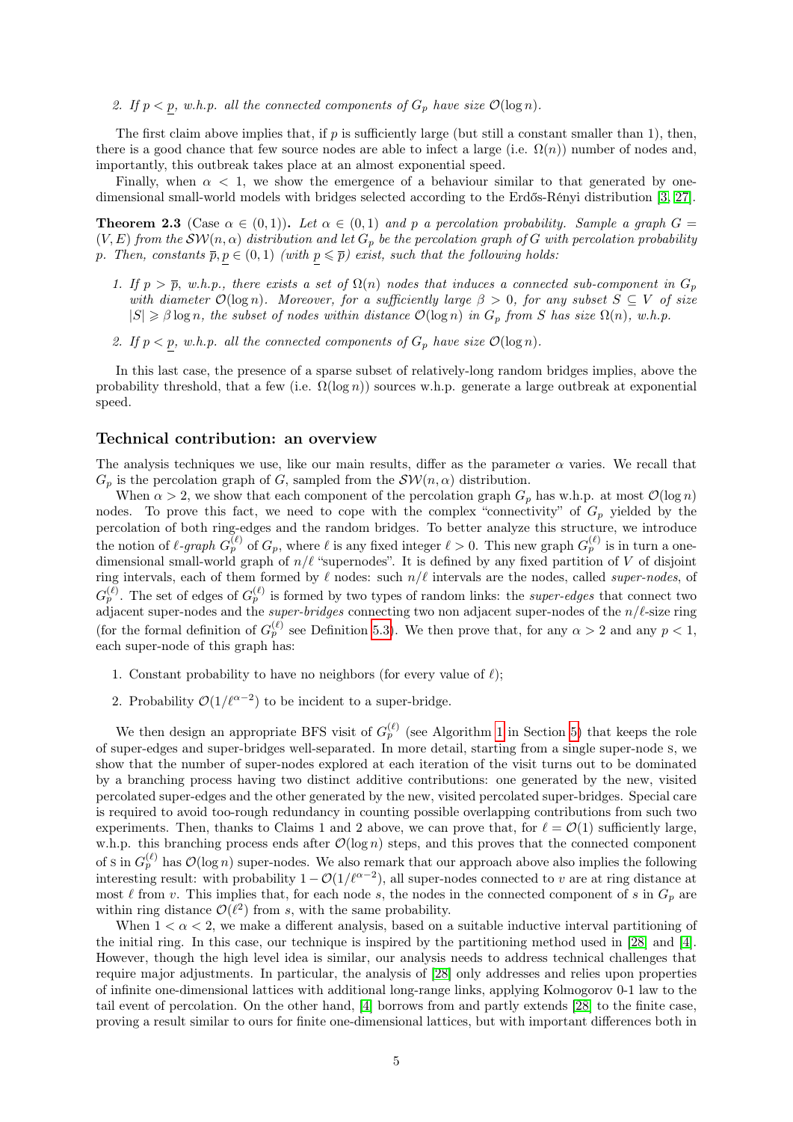#### 2. If  $p < p$ , w.h.p. all the connected components of  $G_p$  have size  $\mathcal{O}(\log n)$ .

The first claim above implies that, if p is sufficiently large (but still a constant smaller than 1), then, there is a good chance that few source nodes are able to infect a large (i.e.  $\Omega(n)$ ) number of nodes and, importantly, this outbreak takes place at an almost exponential speed.

Finally, when  $\alpha < 1$ , we show the emergence of a behaviour similar to that generated by onedimensional small-world models with bridges selected according to the Erdős-Rényi distribution [\[3,](#page-15-8) [27\]](#page-16-15).

<span id="page-4-1"></span>**Theorem 2.3** (Case  $\alpha \in (0,1)$ ). Let  $\alpha \in (0,1)$  and p a percolation probability. Sample a graph  $G =$  $(V, E)$  from the  $\mathcal{SW}(n, \alpha)$  distribution and let  $G_p$  be the percolation graph of G with percolation probability p. Then, constants  $\overline{p}, p \in (0,1)$  (with  $p \leq \overline{p}$ ) exist, such that the following holds:

- 1. If  $p > \overline{p}$ , w.h.p., there exists a set of  $\Omega(n)$  nodes that induces a connected sub-component in  $G_p$ with diameter  $\mathcal{O}(\log n)$ . Moreover, for a sufficiently large  $\beta > 0$ , for any subset  $S \subseteq V$  of size  $|S| \geq \beta \log n$ , the subset of nodes within distance  $\mathcal{O}(\log n)$  in  $G_p$  from S has size  $\Omega(n)$ , w.h.p.
- 2. If  $p < p$ , w.h.p. all the connected components of  $G_p$  have size  $\mathcal{O}(\log n)$ .

In this last case, the presence of a sparse subset of relatively-long random bridges implies, above the probability threshold, that a few (i.e.  $\Omega(\log n)$ ) sources w.h.p. generate a large outbreak at exponential speed.

#### <span id="page-4-0"></span>Technical contribution: an overview

The analysis techniques we use, like our main results, differ as the parameter  $\alpha$  varies. We recall that  $G_p$  is the percolation graph of G, sampled from the  $\mathcal{SW}(n, \alpha)$  distribution.

When  $\alpha > 2$ , we show that each component of the percolation graph  $G_p$  has w.h.p. at most  $\mathcal{O}(\log n)$ nodes. To prove this fact, we need to cope with the complex "connectivity" of  $G_p$  yielded by the percolation of both ring-edges and the random bridges. To better analyze this structure, we introduce the notion of  $\ell$ -graph  $G_p^{(\ell)}$  of  $G_p$ , where  $\ell$  is any fixed integer  $\ell > 0$ . This new graph  $G_p^{(\ell)}$  is in turn a onedimensional small-world graph of  $n/\ell$  "supernodes". It is defined by any fixed partition of V of disjoint ring intervals, each of them formed by  $\ell$  nodes: such  $n/\ell$  intervals are the nodes, called super-nodes, of  $G_p^{(\ell)}$ . The set of edges of  $G_p^{(\ell)}$  is formed by two types of random links: the *super-edges* that connect two adjacent super-nodes and the *super-bridges* connecting two non adjacent super-nodes of the  $n/\ell$ -size ring (for the formal definition of  $G_p^{(\ell)}$  see Definition [5.3\)](#page-8-1). We then prove that, for any  $\alpha > 2$  and any  $p < 1$ , each super-node of this graph has:

- 1. Constant probability to have no neighbors (for every value of  $\ell$ );
- 2. Probability  $\mathcal{O}(1/\ell^{\alpha-2})$  to be incident to a super-bridge.

We then design an appropriate BFS visit of  $G_p^{(\ell)}$  (see Algorithm [1](#page-10-0) in Section [5\)](#page-8-0) that keeps the role of super-edges and super-bridges well-separated. In more detail, starting from a single super-node s, we show that the number of super-nodes explored at each iteration of the visit turns out to be dominated by a branching process having two distinct additive contributions: one generated by the new, visited percolated super-edges and the other generated by the new, visited percolated super-bridges. Special care is required to avoid too-rough redundancy in counting possible overlapping contributions from such two experiments. Then, thanks to Claims 1 and 2 above, we can prove that, for  $\ell = \mathcal{O}(1)$  sufficiently large, w.h.p. this branching process ends after  $\mathcal{O}(\log n)$  steps, and this proves that the connected component of s in  $G_p^{(\ell)}$  has  $\mathcal{O}(\log n)$  super-nodes. We also remark that our approach above also implies the following interesting result: with probability  $1 - \mathcal{O}(1/\ell^{\alpha-2})$ , all super-nodes connected to v are at ring distance at most  $\ell$  from v. This implies that, for each node s, the nodes in the connected component of s in  $G_p$  are within ring distance  $\mathcal{O}(\ell^2)$  from s, with the same probability.

When  $1 < \alpha < 2$ , we make a different analysis, based on a suitable inductive interval partitioning of the initial ring. In this case, our technique is inspired by the partitioning method used in [\[28\]](#page-16-1) and [\[4\]](#page-15-5). However, though the high level idea is similar, our analysis needs to address technical challenges that require major adjustments. In particular, the analysis of [\[28\]](#page-16-1) only addresses and relies upon properties of infinite one-dimensional lattices with additional long-range links, applying Kolmogorov 0-1 law to the tail event of percolation. On the other hand, [\[4\]](#page-15-5) borrows from and partly extends [\[28\]](#page-16-1) to the finite case, proving a result similar to ours for finite one-dimensional lattices, but with important differences both in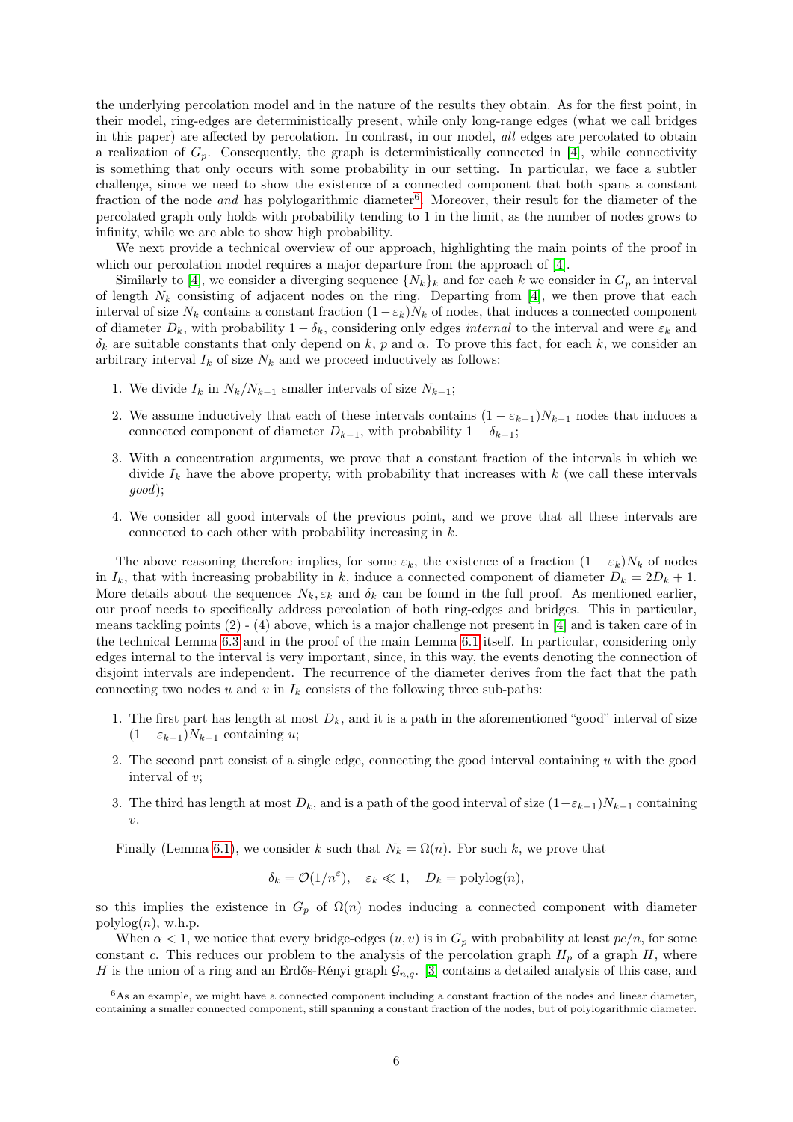the underlying percolation model and in the nature of the results they obtain. As for the first point, in their model, ring-edges are deterministically present, while only long-range edges (what we call bridges in this paper) are affected by percolation. In contrast, in our model, all edges are percolated to obtain a realization of  $G_p$ . Consequently, the graph is deterministically connected in [\[4\]](#page-15-5), while connectivity is something that only occurs with some probability in our setting. In particular, we face a subtler challenge, since we need to show the existence of a connected component that both spans a constant fraction of the node *and* has polylogarithmic diameter<sup>[6](#page-5-0)</sup>. Moreover, their result for the diameter of the percolated graph only holds with probability tending to 1 in the limit, as the number of nodes grows to infinity, while we are able to show high probability.

We next provide a technical overview of our approach, highlighting the main points of the proof in which our percolation model requires a major departure from the approach of [\[4\]](#page-15-5).

Similarly to [\[4\]](#page-15-5), we consider a diverging sequence  $\{N_k\}_k$  and for each k we consider in  $G_p$  an interval of length  $N_k$  consisting of adjacent nodes on the ring. Departing from [\[4\]](#page-15-5), we then prove that each interval of size  $N_k$  contains a constant fraction  $(1-\varepsilon_k)N_k$  of nodes, that induces a connected component of diameter  $D_k$ , with probability  $1 - \delta_k$ , considering only edges *internal* to the interval and were  $\varepsilon_k$  and  $\delta_k$  are suitable constants that only depend on k, p and  $\alpha$ . To prove this fact, for each k, we consider an arbitrary interval  $I_k$  of size  $N_k$  and we proceed inductively as follows:

- 1. We divide  $I_k$  in  $N_k/N_{k-1}$  smaller intervals of size  $N_{k-1}$ ;
- 2. We assume inductively that each of these intervals contains  $(1 \varepsilon_{k-1})N_{k-1}$  nodes that induces a connected component of diameter  $D_{k-1}$ , with probability  $1 - \delta_{k-1}$ ;
- 3. With a concentration arguments, we prove that a constant fraction of the intervals in which we divide  $I_k$  have the above property, with probability that increases with  $k$  (we call these intervals good);
- 4. We consider all good intervals of the previous point, and we prove that all these intervals are connected to each other with probability increasing in k.

The above reasoning therefore implies, for some  $\varepsilon_k$ , the existence of a fraction  $(1 - \varepsilon_k)N_k$  of nodes in  $I_k$ , that with increasing probability in k, induce a connected component of diameter  $D_k = 2D_k + 1$ . More details about the sequences  $N_k$ ,  $\varepsilon_k$  and  $\delta_k$  can be found in the full proof. As mentioned earlier, our proof needs to specifically address percolation of both ring-edges and bridges. This in particular, means tackling points  $(2)$  -  $(4)$  above, which is a major challenge not present in [\[4\]](#page-15-5) and is taken care of in the technical Lemma [6.3](#page-11-1) and in the proof of the main Lemma [6.1](#page-11-2) itself. In particular, considering only edges internal to the interval is very important, since, in this way, the events denoting the connection of disjoint intervals are independent. The recurrence of the diameter derives from the fact that the path connecting two nodes u and v in  $I_k$  consists of the following three sub-paths:

- 1. The first part has length at most  $D_k$ , and it is a path in the aforementioned "good" interval of size  $(1 - \varepsilon_{k-1})N_{k-1}$  containing u;
- 2. The second part consist of a single edge, connecting the good interval containing  $u$  with the good interval of v;
- 3. The third has length at most  $D_k$ , and is a path of the good interval of size  $(1-\varepsilon_{k-1})N_{k-1}$  containing v.

Finally (Lemma [6.1\)](#page-11-2), we consider k such that  $N_k = \Omega(n)$ . For such k, we prove that

$$
\delta_k = \mathcal{O}(1/n^{\varepsilon}), \quad \varepsilon_k \ll 1, \quad D_k = \text{polylog}(n),
$$

so this implies the existence in  $G_p$  of  $\Omega(n)$  nodes inducing a connected component with diameter  $polylog(n)$ , w.h.p.

When  $\alpha < 1$ , we notice that every bridge-edges  $(u, v)$  is in  $G_p$  with probability at least  $pc/n$ , for some constant c. This reduces our problem to the analysis of the percolation graph  $H_p$  of a graph  $H$ , where H is the union of a ring and an Erdős-Rényi graph  $\mathcal{G}_{n,q}$ . [\[3\]](#page-15-8) contains a detailed analysis of this case, and

<span id="page-5-0"></span> $6$ As an example, we might have a connected component including a constant fraction of the nodes and linear diameter, containing a smaller connected component, still spanning a constant fraction of the nodes, but of polylogarithmic diameter.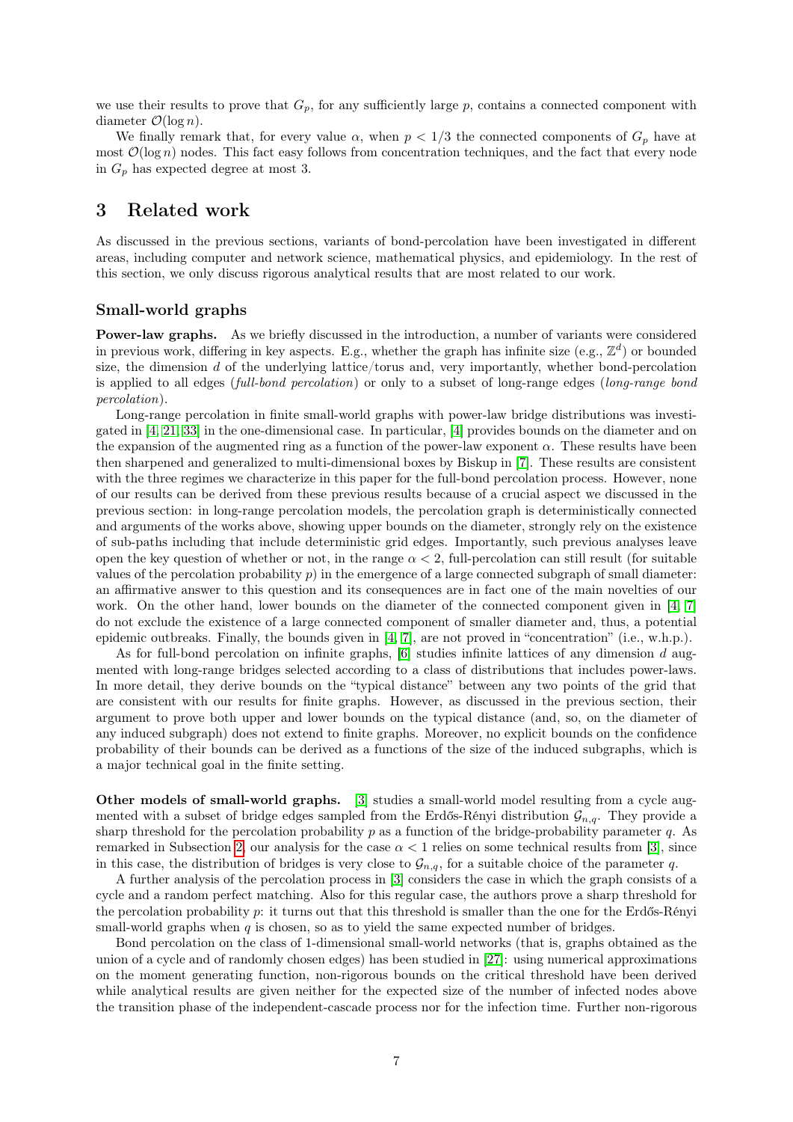we use their results to prove that  $G_p$ , for any sufficiently large p, contains a connected component with diameter  $\mathcal{O}(\log n)$ .

We finally remark that, for every value  $\alpha$ , when  $p < 1/3$  the connected components of  $G_p$  have at most  $\mathcal{O}(\log n)$  nodes. This fact easy follows from concentration techniques, and the fact that every node in  $G_p$  has expected degree at most 3.

### <span id="page-6-0"></span>3 Related work

As discussed in the previous sections, variants of bond-percolation have been investigated in different areas, including computer and network science, mathematical physics, and epidemiology. In the rest of this section, we only discuss rigorous analytical results that are most related to our work.

#### Small-world graphs

Power-law graphs. As we briefly discussed in the introduction, a number of variants were considered in previous work, differing in key aspects. E.g., whether the graph has infinite size (e.g.,  $\mathbb{Z}^d$ ) or bounded size, the dimension d of the underlying lattice/torus and, very importantly, whether bond-percolation is applied to all edges (full-bond percolation) or only to a subset of long-range edges (long-range bond percolation).

Long-range percolation in finite small-world graphs with power-law bridge distributions was investigated in [\[4,](#page-15-5) [21,](#page-16-11) [33\]](#page-16-10) in the one-dimensional case. In particular, [\[4\]](#page-15-5) provides bounds on the diameter and on the expansion of the augmented ring as a function of the power-law exponent  $\alpha$ . These results have been then sharpened and generalized to multi-dimensional boxes by Biskup in [\[7\]](#page-15-7). These results are consistent with the three regimes we characterize in this paper for the full-bond percolation process. However, none of our results can be derived from these previous results because of a crucial aspect we discussed in the previous section: in long-range percolation models, the percolation graph is deterministically connected and arguments of the works above, showing upper bounds on the diameter, strongly rely on the existence of sub-paths including that include deterministic grid edges. Importantly, such previous analyses leave open the key question of whether or not, in the range  $\alpha < 2$ , full-percolation can still result (for suitable values of the percolation probability  $p$ ) in the emergence of a large connected subgraph of small diameter: an affirmative answer to this question and its consequences are in fact one of the main novelties of our work. On the other hand, lower bounds on the diameter of the connected component given in [\[4,](#page-15-5) [7\]](#page-15-7) do not exclude the existence of a large connected component of smaller diameter and, thus, a potential epidemic outbreaks. Finally, the bounds given in [\[4,](#page-15-5) [7\]](#page-15-7), are not proved in "concentration" (i.e., w.h.p.).

As for full-bond percolation on infinite graphs, [\[6\]](#page-15-6) studies infinite lattices of any dimension d augmented with long-range bridges selected according to a class of distributions that includes power-laws. In more detail, they derive bounds on the "typical distance" between any two points of the grid that are consistent with our results for finite graphs. However, as discussed in the previous section, their argument to prove both upper and lower bounds on the typical distance (and, so, on the diameter of any induced subgraph) does not extend to finite graphs. Moreover, no explicit bounds on the confidence probability of their bounds can be derived as a functions of the size of the induced subgraphs, which is a major technical goal in the finite setting.

Other models of small-world graphs. [\[3\]](#page-15-8) studies a small-world model resulting from a cycle augmented with a subset of bridge edges sampled from the Erdős-Rényi distribution  $\mathcal{G}_{n,q}$ . They provide a sharp threshold for the percolation probability p as a function of the bridge-probability parameter q. As remarked in Subsection [2,](#page-4-0) our analysis for the case  $\alpha < 1$  relies on some technical results from [\[3\]](#page-15-8), since in this case, the distribution of bridges is very close to  $\mathcal{G}_{n,q}$ , for a suitable choice of the parameter q.

A further analysis of the percolation process in [\[3\]](#page-15-8) considers the case in which the graph consists of a cycle and a random perfect matching. Also for this regular case, the authors prove a sharp threshold for the percolation probability p: it turns out that this threshold is smaller than the one for the Erdős-Rényi small-world graphs when  $q$  is chosen, so as to yield the same expected number of bridges.

Bond percolation on the class of 1-dimensional small-world networks (that is, graphs obtained as the union of a cycle and of randomly chosen edges) has been studied in [\[27\]](#page-16-15): using numerical approximations on the moment generating function, non-rigorous bounds on the critical threshold have been derived while analytical results are given neither for the expected size of the number of infected nodes above the transition phase of the independent-cascade process nor for the infection time. Further non-rigorous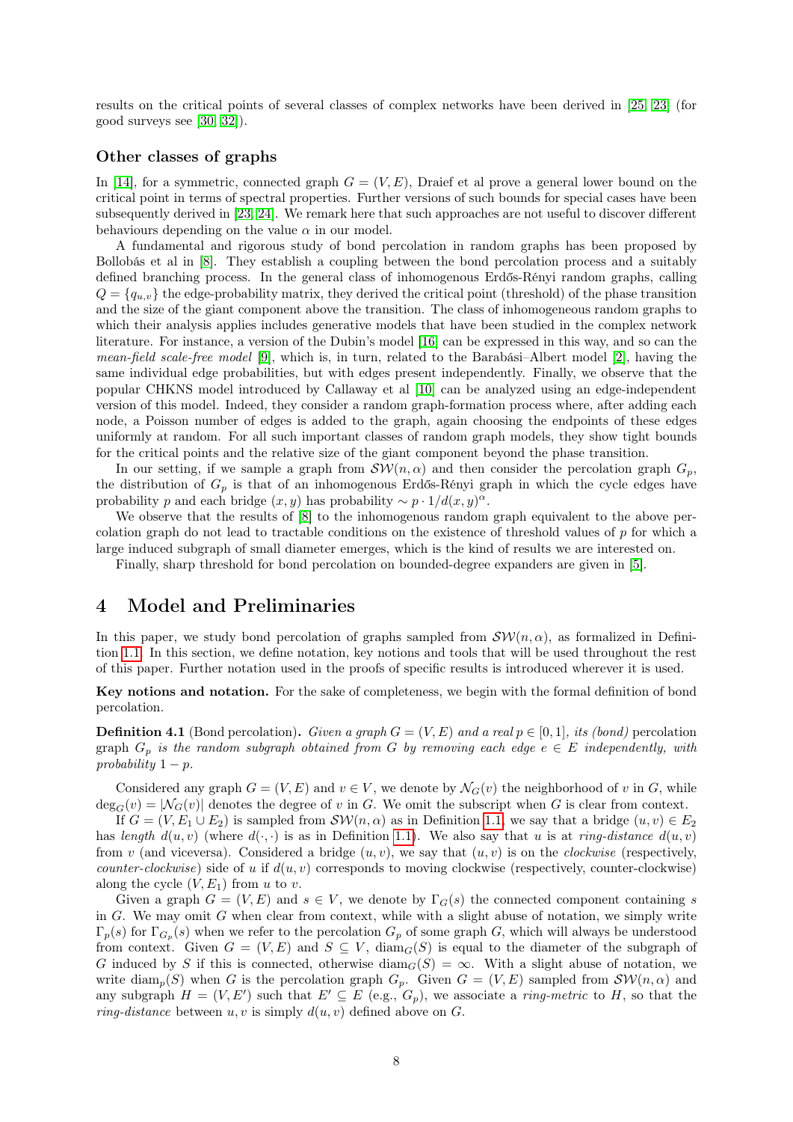results on the critical points of several classes of complex networks have been derived in [\[25,](#page-16-5) [23\]](#page-16-16) (for good surveys see [\[30,](#page-16-7) [32\]](#page-16-8)).

#### Other classes of graphs

In [\[14\]](#page-15-9), for a symmetric, connected graph  $G = (V, E)$ , Draief et al prove a general lower bound on the critical point in terms of spectral properties. Further versions of such bounds for special cases have been subsequently derived in [\[23,](#page-16-16) [24\]](#page-16-17). We remark here that such approaches are not useful to discover different behaviours depending on the value  $\alpha$  in our model.

A fundamental and rigorous study of bond percolation in random graphs has been proposed by Bollobás et al in [\[8\]](#page-15-10). They establish a coupling between the bond percolation process and a suitably defined branching process. In the general class of inhomogenous Erdős-Rényi random graphs, calling  $Q = \{q_{u,v}\}\$  the edge-probability matrix, they derived the critical point (threshold) of the phase transition and the size of the giant component above the transition. The class of inhomogeneous random graphs to which their analysis applies includes generative models that have been studied in the complex network literature. For instance, a version of the Dubin's model [\[16\]](#page-15-11) can be expressed in this way, and so can the mean-field scale-free model [\[9\]](#page-15-12), which is, in turn, related to the Barabási–Albert model [\[2\]](#page-15-13), having the same individual edge probabilities, but with edges present independently. Finally, we observe that the popular CHKNS model introduced by Callaway et al [\[10\]](#page-15-4) can be analyzed using an edge-independent version of this model. Indeed, they consider a random graph-formation process where, after adding each node, a Poisson number of edges is added to the graph, again choosing the endpoints of these edges uniformly at random. For all such important classes of random graph models, they show tight bounds for the critical points and the relative size of the giant component beyond the phase transition.

In our setting, if we sample a graph from  $\mathcal{SW}(n, \alpha)$  and then consider the percolation graph  $G_p$ , the distribution of  $G_p$  is that of an inhomogenous Erdős-Rényi graph in which the cycle edges have probability p and each bridge  $(x, y)$  has probability ~  $p \cdot 1/d(x, y)^\alpha$ .

We observe that the results of [\[8\]](#page-15-10) to the inhomogenous random graph equivalent to the above percolation graph do not lead to tractable conditions on the existence of threshold values of p for which a large induced subgraph of small diameter emerges, which is the kind of results we are interested on.

Finally, sharp threshold for bond percolation on bounded-degree expanders are given in [\[5\]](#page-15-14).

### <span id="page-7-0"></span>4 Model and Preliminaries

In this paper, we study bond percolation of graphs sampled from  $\mathcal{SW}(n, \alpha)$ , as formalized in Definition [1.1.](#page-2-2) In this section, we define notation, key notions and tools that will be used throughout the rest of this paper. Further notation used in the proofs of specific results is introduced wherever it is used.

Key notions and notation. For the sake of completeness, we begin with the formal definition of bond percolation.

**Definition 4.1** (Bond percolation). Given a graph  $G = (V, E)$  and a real  $p \in [0, 1]$ , its (bond) percolation graph  $G_p$  is the random subgraph obtained from G by removing each edge  $e \in E$  independently, with probability  $1 - p$ .

Considered any graph  $G = (V, E)$  and  $v \in V$ , we denote by  $\mathcal{N}_G(v)$  the neighborhood of v in G, while  $deg_G(v) = |\mathcal{N}_G(v)|$  denotes the degree of v in G. We omit the subscript when G is clear from context.

If  $G = (V, E_1 \cup E_2)$  is sampled from  $\mathcal{SW}(n, \alpha)$  as in Definition [1.1,](#page-2-2) we say that a bridge  $(u, v) \in E_2$ has length  $d(u, v)$  (where  $d(\cdot, \cdot)$  is as in Definition [1.1\)](#page-2-2). We also say that u is at *ring-distance*  $d(u, v)$ from v (and viceversa). Considered a bridge  $(u, v)$ , we say that  $(u, v)$  is on the *clockwise* (respectively, *counter-clockwise*) side of u if  $d(u, v)$  corresponds to moving clockwise (respectively, counter-clockwise) along the cycle  $(V, E_1)$  from u to v.

Given a graph  $G = (V, E)$  and  $s \in V$ , we denote by  $\Gamma_G(s)$  the connected component containing s in  $G$ . We may omit  $G$  when clear from context, while with a slight abuse of notation, we simply write  $\Gamma_p(s)$  for  $\Gamma_{G_p}(s)$  when we refer to the percolation  $G_p$  of some graph G, which will always be understood from context. Given  $G = (V, E)$  and  $S \subseteq V$ , diam<sub>G</sub>(S) is equal to the diameter of the subgraph of G induced by S if this is connected, otherwise  $\text{diam}_G(S) = \infty$ . With a slight abuse of notation, we write  $\text{diam}_p(S)$  when G is the percolation graph  $G_p$ . Given  $G = (V, E)$  sampled from  $\mathcal{SW}(n, \alpha)$  and any subgraph  $H = (V, E')$  such that  $E' \subseteq E$  (e.g.,  $G_p$ ), we associate a *ring-metric* to H, so that the ring-distance between  $u, v$  is simply  $d(u, v)$  defined above on G.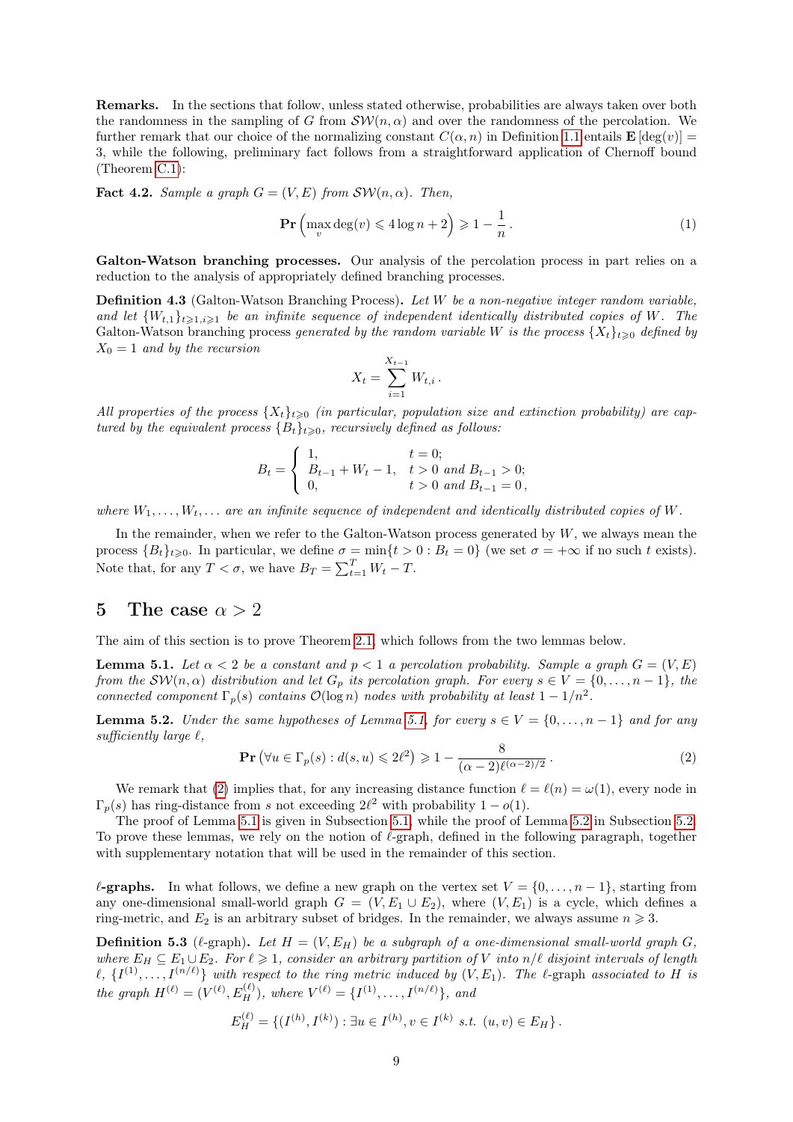Remarks. In the sections that follow, unless stated otherwise, probabilities are always taken over both the randomness in the sampling of G from  $\mathcal{SW}(n, \alpha)$  and over the randomness of the percolation. We further remark that our choice of the normalizing constant  $C(\alpha, n)$  in Definition [1.1](#page-2-2) entails  $\mathbf{E}[\deg(v)] =$ 3, while the following, preliminary fact follows from a straightforward application of Chernoff bound (Theorem [C.1\)](#page-22-0):

<span id="page-8-5"></span>**Fact 4.2.** Sample a graph  $G = (V, E)$  from  $\mathcal{SW}(n, \alpha)$ . Then,

$$
\Pr\left(\max_{v} \deg(v) \leqslant 4\log n + 2\right) \geqslant 1 - \frac{1}{n} \,. \tag{1}
$$

Galton-Watson branching processes. Our analysis of the percolation process in part relies on a reduction to the analysis of appropriately defined branching processes.

Definition 4.3 (Galton-Watson Branching Process). Let W be a non-negative integer random variable, and let  $\{W_{t,1}\}_{t\geq1,i\geq1}$  be an infinite sequence of independent identically distributed copies of W. The Galton-Watson branching process generated by the random variable W is the process  $\{X_t\}_{t\geqslant0}$  defined by  $X_0 = 1$  and by the recursion

$$
X_t = \sum_{i=1}^{X_{t-1}} W_{t,i} \, .
$$

All properties of the process  $\{X_t\}_{t>0}$  (in particular, population size and extinction probability) are captured by the equivalent process  ${B_t}_{t\geqslant0}$ , recursively defined as follows:

$$
B_t = \begin{cases} 1, & t = 0; \\ B_{t-1} + W_t - 1, & t > 0 \text{ and } B_{t-1} > 0; \\ 0, & t > 0 \text{ and } B_{t-1} = 0, \end{cases}
$$

where  $W_1, \ldots, W_t, \ldots$  are an infinite sequence of independent and identically distributed copies of W.

In the remainder, when we refer to the Galton-Watson process generated by  $W$ , we always mean the process  ${B_t}_{t\geq0}$ . In particular, we define  $\sigma = \min\{t > 0 : B_t = 0\}$  (we set  $\sigma = +\infty$  if no such t exists). Note that, for any  $T < \sigma$ , we have  $B_T = \sum_{t=1}^T W_t - T$ .

### <span id="page-8-0"></span>5 The case  $\alpha > 2$

The aim of this section is to prove Theorem [2.1,](#page-3-1) which follows from the two lemmas below.

<span id="page-8-2"></span>**Lemma 5.1.** Let  $\alpha < 2$  be a constant and  $p < 1$  a percolation probability. Sample a graph  $G = (V, E)$ from the  $\mathcal{SW}(n,\alpha)$  distribution and let  $G_p$  its percolation graph. For every  $s \in V = \{0,\ldots,n-1\}$ , the connected component  $\Gamma_p(s)$  contains  $\mathcal{O}(\log n)$  nodes with probability at least  $1 - 1/n^2$ .

<span id="page-8-4"></span>**Lemma 5.2.** Under the same hypotheses of Lemma [5.1,](#page-8-2) for every  $s \in V = \{0, \ldots, n-1\}$  and for any sufficiently large  $\ell$ ,

<span id="page-8-3"></span>
$$
\Pr\left(\forall u \in \Gamma_p(s) : d(s, u) \leq 2\ell^2\right) \geq 1 - \frac{8}{(\alpha - 2)\ell^{(\alpha - 2)/2}}.
$$
\n(2)

We remark that [\(2\)](#page-8-3) implies that, for any increasing distance function  $\ell = \ell(n) = \omega(1)$ , every node in  $\Gamma_p(s)$  has ring-distance from s not exceeding  $2\ell^2$  with probability  $1 - o(1)$ .

The proof of Lemma [5.1](#page-8-2) is given in Subsection [5.1,](#page-9-0) while the proof of Lemma [5.2](#page-8-4) in Subsection [5.2.](#page-10-1) To prove these lemmas, we rely on the notion of  $\ell$ -graph, defined in the following paragraph, together with supplementary notation that will be used in the remainder of this section.

 $\ell$ -graphs. In what follows, we define a new graph on the vertex set  $V = \{0, \ldots, n - 1\}$ , starting from any one-dimensional small-world graph  $G = (V, E_1 \cup E_2)$ , where  $(V, E_1)$  is a cycle, which defines a ring-metric, and  $E_2$  is an arbitrary subset of bridges. In the remainder, we always assume  $n \geq 3$ .

<span id="page-8-1"></span>**Definition 5.3** ( $\ell$ -graph). Let  $H = (V, E_H)$  be a subgraph of a one-dimensional small-world graph G, where  $E_H \subseteq E_1 \cup E_2$ . For  $\ell \geq 1$ , consider an arbitrary partition of V into n/ $\ell$  disjoint intervals of length  $\ell, \{I^{(1)}, \ldots, I^{(n/\ell)}\}$  with respect to the ring metric induced by  $(V, E_1)$ . The  $\ell$ -graph associated to H is the graph  $H^{(\ell)} = (V^{(\ell)}, E_H^{(\ell)}),$  where  $V^{(\ell)} = \{I^{(1)}, \ldots, I^{(n/\ell)}\},$  and

$$
E_H^{(\ell)} = \{ (I^{(h)}, I^{(k)}) : \exists u \in I^{(h)}, v \in I^{(k)} \text{ s.t. } (u, v) \in E_H \}.
$$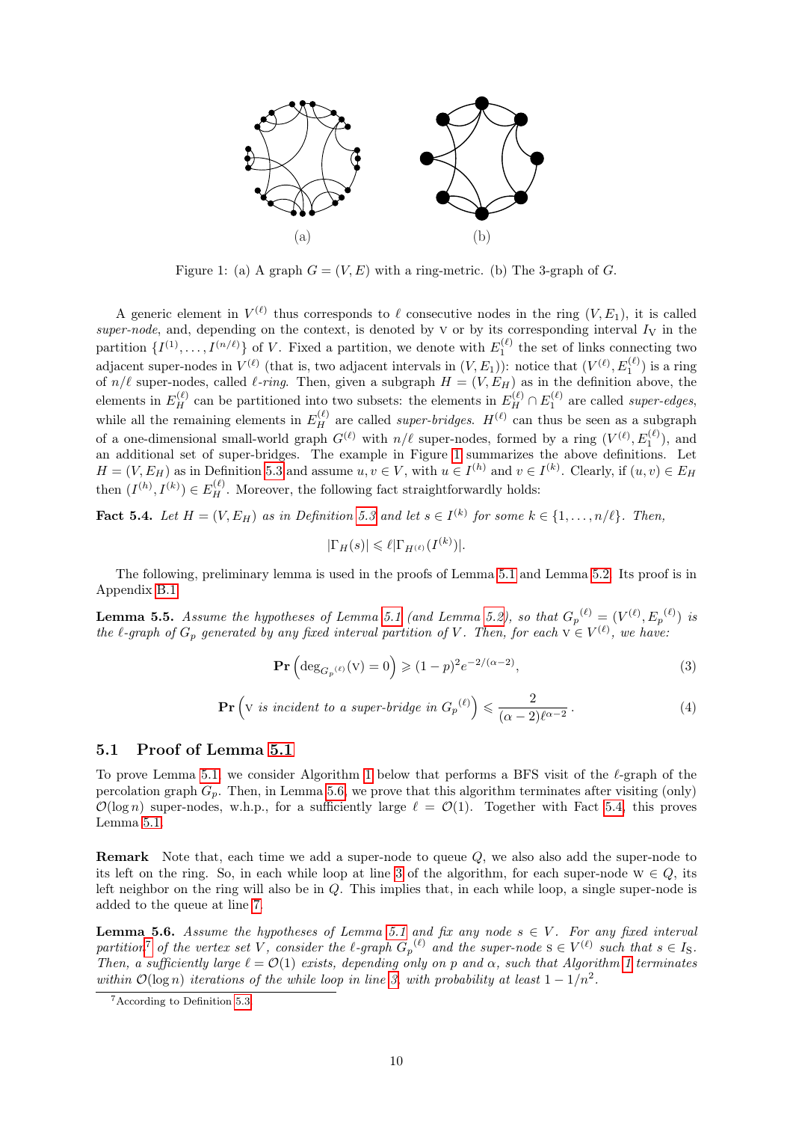<span id="page-9-1"></span>

Figure 1: (a) A graph  $G = (V, E)$  with a ring-metric. (b) The 3-graph of G.

A generic element in  $V^{(\ell)}$  thus corresponds to  $\ell$  consecutive nodes in the ring  $(V, E_1)$ , it is called super-node, and, depending on the context, is denoted by  $V$  or by its corresponding interval  $I_V$  in the partition  $\{I^{(1)},...,I^{(n/\ell)}\}$  of V. Fixed a partition, we denote with  $E_1^{(\ell)}$  the set of links connecting two adjacent super-nodes in  $V^{(\ell)}$  (that is, two adjacent intervals in  $(V, E_1)$ ): notice that  $(V^{(\ell)}, E_1^{(\ell)})$  is a ring of  $n/\ell$  super-nodes, called  $\ell$ -ring. Then, given a subgraph  $H = (V, E_H)$  as in the definition above, the elements in  $E_H^{(\ell)}$  can be partitioned into two subsets: the elements in  $E_H^{(\ell)} \cap E_1^{(\ell)}$  are called super-edges, while all the remaining elements in  $E_H^{(\ell)}$  are called *super-bridges.*  $H^{(\ell)}$  can thus be seen as a subgraph of a one-dimensional small-world graph  $G^{(\ell)}$  with  $n/\ell$  super-nodes, formed by a ring  $(V^{(\ell)}, E_1^{(\ell)})$ , and an additional set of super-bridges. The example in Figure [1](#page-9-1) summarizes the above definitions. Let  $H = (V, E_H)$  as in Definition [5.3](#page-8-1) and assume  $u, v \in V$ , with  $u \in I^{(h)}$  and  $v \in I^{(k)}$ . Clearly, if  $(u, v) \in E_H$ then  $(I^{(h)}, I^{(k)}) \in E_H^{(\ell)}$ . Moreover, the following fact straightforwardly holds:

<span id="page-9-3"></span>**Fact 5.4.** Let  $H = (V, E_H)$  as in Definition [5.3](#page-8-1) and let  $s \in I^{(k)}$  for some  $k \in \{1, ..., n/\ell\}$ . Then,

$$
|\Gamma_H(s)| \leq \ell |\Gamma_{H^{(\ell)}}(I^{(k)})|.
$$

The following, preliminary lemma is used in the proofs of Lemma [5.1](#page-8-2) and Lemma [5.2.](#page-8-4) Its proof is in Appendix [B.1.](#page-18-0)

<span id="page-9-7"></span>**Lemma 5.5.** Assume the hypotheses of Lemma [5.1](#page-8-2) (and Lemma [5.2\)](#page-8-4), so that  $G_p^{(\ell)} = (V^{(\ell)}, E_p^{(\ell)})$  is the l-graph of  $G_p$  generated by any fixed interval partition of V. Then, for each  $v \in V^{(\ell)}$ , we have:

<span id="page-9-5"></span>
$$
\mathbf{Pr}\left(\deg_{G_p(\ell)}(v) = 0\right) \geqslant (1-p)^2 e^{-2/(\alpha-2)},\tag{3}
$$

<span id="page-9-6"></span>
$$
\mathbf{Pr}\left(\mathbf{v} \text{ is incident to a super-bridge in } G_p^{(\ell)}\right) \leq \frac{2}{(\alpha - 2)\ell^{\alpha - 2}}.
$$
 (4)

### <span id="page-9-0"></span>5.1 Proof of Lemma [5.1](#page-8-2)

To prove Lemma [5.1,](#page-8-2) we consider Algorithm [1](#page-10-0) below that performs a BFS visit of the  $\ell$ -graph of the percolation graph  $G_p$ . Then, in Lemma [5.6,](#page-9-2) we prove that this algorithm terminates after visiting (only)  $\mathcal{O}(\log n)$  super-nodes, w.h.p., for a sufficiently large  $\ell = \mathcal{O}(1)$ . Together with Fact [5.4,](#page-9-3) this proves Lemma [5.1.](#page-8-2)

Remark Note that, each time we add a super-node to queue Q, we also also add the super-node to its left on the ring. So, in each while loop at line [3](#page-10-0) of the algorithm, for each super-node  $w \in Q$ , its left neighbor on the ring will also be in Q. This implies that, in each while loop, a single super-node is added to the queue at line [7.](#page-10-0)

<span id="page-9-2"></span>**Lemma 5.6.** Assume the hypotheses of Lemma [5.1](#page-8-2) and fix any node  $s \in V$ . For any fixed interval partition<sup>[7](#page-9-4)</sup> of the vertex set V, consider the l-graph  $G_p^{(\ell)}$  and the super-node  $s \in V^{(\ell)}$  such that  $s \in I_s$ . Then, a sufficiently large  $\ell = \mathcal{O}(1)$  exists, depending only on p and  $\alpha$ , such that Algorithm [1](#page-10-0) terminates within  $\mathcal{O}(\log n)$  iterations of the while loop in line [3,](#page-10-0) with probability at least  $1 - 1/n^2$ .

<span id="page-9-4"></span><sup>7</sup>According to Definition [5.3.](#page-8-1)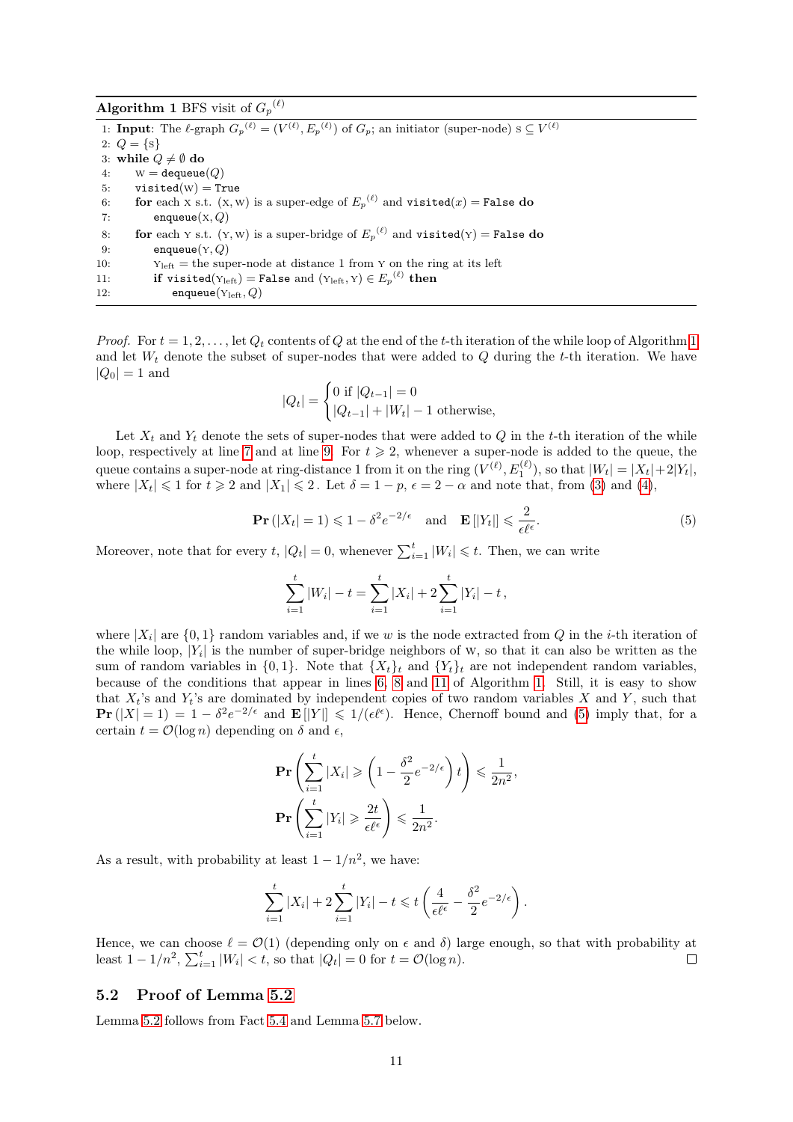<span id="page-10-0"></span>

| <b>Algorithm 1</b> BFS visit of $G_p^{(\ell)}$                                                                                                |
|-----------------------------------------------------------------------------------------------------------------------------------------------|
| 1: <b>Input</b> : The $\ell$ -graph $G_p^{(\ell)} = (V^{(\ell)}, E_p^{(\ell)})$ of $G_p$ ; an initiator (super-node) $s \subseteq V^{(\ell)}$ |
| 2: $Q = \{s\}$                                                                                                                                |
| 3: while $Q \neq \emptyset$ do                                                                                                                |
| $W =$ dequeue $(Q)$<br>4:                                                                                                                     |
| $visted(W) = True$<br>5:                                                                                                                      |
| for each x s.t. (x, w) is a super-edge of $E_p^{(\ell)}$ and visited(x) = False do<br>6:                                                      |
| enqueue $(x, Q)$<br>7:                                                                                                                        |
| for each Y s.t. (Y, W) is a super-bridge of $E_p^{(\ell)}$ and visited(Y) = False do<br>8:                                                    |
| enqueue $(Y, Q)$<br>9:                                                                                                                        |
| $Y_{\text{left}}$ = the super-node at distance 1 from Y on the ring at its left<br>10:                                                        |
| <b>if</b> visited(Y <sub>left</sub> ) = False and (Y <sub>left</sub> , Y) $\in E_p^{(\ell)}$ then<br>11:                                      |
| enqueue $(Y_{\text{left}}, Q)$<br>12:                                                                                                         |

*Proof.* For  $t = 1, 2, ...,$  $t = 1, 2, ...,$  $t = 1, 2, ...,$  let  $Q_t$  contents of Q at the end of the t-th iteration of the while loop of Algorithm 1 and let  $W_t$  denote the subset of super-nodes that were added to  $Q$  during the t-th iteration. We have  $|Q_0| = 1$  and

$$
|Q_t| = \begin{cases} 0 \text{ if } |Q_{t-1}| = 0\\ |Q_{t-1}| + |W_t| - 1 \text{ otherwise,} \end{cases}
$$

Let  $X_t$  and  $Y_t$  denote the sets of super-nodes that were added to Q in the t-th iteration of the while loop, respectively at line [7](#page-10-0) and at line [9.](#page-10-0) For  $t \geq 2$ , whenever a super-node is added to the queue, the queue contains a super-node at ring-distance 1 from it on the ring  $(V^{(\ell)}, E_1^{(\ell)})$ , so that  $|W_t| = |X_t| + 2|Y_t|$ , where  $|X_t| \leq 1$  for  $t \geq 2$  and  $|X_1| \leq 2$ . Let  $\delta = 1 - p$ ,  $\epsilon = 2 - \alpha$  and note that, from [\(3\)](#page-9-5) and [\(4\)](#page-9-6),

<span id="page-10-2"></span>
$$
\mathbf{Pr}\left(|X_t| = 1\right) \leq 1 - \delta^2 e^{-2/\epsilon} \quad \text{and} \quad \mathbf{E}\left[|Y_t|\right] \leq \frac{2}{\epsilon \ell^{\epsilon}}.\tag{5}
$$

Moreover, note that for every  $t, |Q_t| = 0$ , whenever  $\sum_{i=1}^{t} |W_i| \leq t$ . Then, we can write

$$
\sum_{i=1}^{t} |W_i| - t = \sum_{i=1}^{t} |X_i| + 2 \sum_{i=1}^{t} |Y_i| - t,
$$

where  $|X_i|$  are  $\{0,1\}$  random variables and, if we w is the node extracted from Q in the *i*-th iteration of the while loop,  $|Y_i|$  is the number of super-bridge neighbors of w, so that it can also be written as the sum of random variables in  $\{0, 1\}$ . Note that  $\{X_t\}_t$  and  $\{Y_t\}_t$  are not independent random variables, because of the conditions that appear in lines [6, 8](#page-10-0) and [11](#page-10-0) of Algorithm [1.](#page-10-0) Still, it is easy to show that  $X_t$ 's and  $Y_t$ 's are dominated by independent copies of two random variables X and Y, such that  $\Pr(|X|=1) = 1 - \delta^2 e^{-2/\epsilon}$  and  $\mathbf{E}||Y|| \leq 1/(\epsilon \ell^{\epsilon})$ . Hence, Chernoff bound and [\(5\)](#page-10-2) imply that, for a certain  $t = \mathcal{O}(\log n)$  depending on  $\delta$  and  $\epsilon$ ,

$$
\mathbf{Pr}\left(\sum_{i=1}^{t} |X_i| \geqslant \left(1 - \frac{\delta^2}{2} e^{-2/\epsilon}\right) t\right) \leqslant \frac{1}{2n^2},
$$
\n
$$
\mathbf{Pr}\left(\sum_{i=1}^{t} |Y_i| \geqslant \frac{2t}{\epsilon \ell^{\epsilon}}\right) \leqslant \frac{1}{2n^2}.
$$

As a result, with probability at least  $1 - 1/n^2$ , we have:

$$
\sum_{i=1}^t |X_i| + 2\sum_{i=1}^t |Y_i| - t \leq t \left(\frac{4}{\epsilon \ell^{\epsilon}} - \frac{\delta^2}{2} e^{-2/\epsilon}\right).
$$

Hence, we can choose  $\ell = \mathcal{O}(1)$  (depending only on  $\epsilon$  and  $\delta$ ) large enough, so that with probability at least  $1 - 1/n^2$ ,  $\sum_{i=1}^{t} |W_i| < t$ , so that  $|Q_t| = 0$  for  $t = \mathcal{O}(\log n)$ .  $\Box$ 

#### <span id="page-10-1"></span>5.2 Proof of Lemma [5.2](#page-8-4)

Lemma [5.2](#page-8-4) follows from Fact [5.4](#page-9-3) and Lemma [5.7](#page-11-3) below.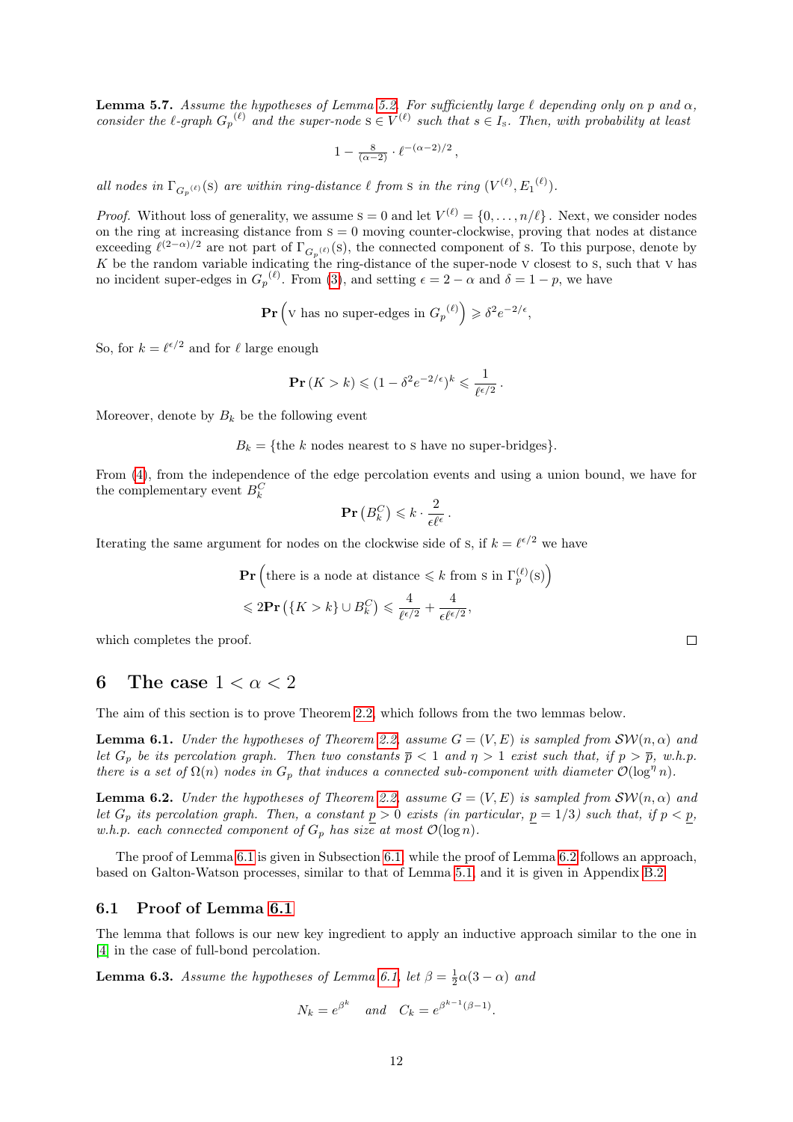<span id="page-11-3"></span>**Lemma 5.7.** Assume the hypotheses of Lemma [5.2.](#page-8-4) For sufficiently large  $\ell$  depending only on p and  $\alpha$ , consider the  $\ell$ -graph  $G_p^{(\ell)}$  and the super-node  $s \in V^{(\ell)}$  such that  $s \in I_s$ . Then, with probability at least

$$
1-\tfrac{8}{(\alpha-2)}\cdot \ell^{-(\alpha-2)/2}\,,
$$

all nodes in  $\Gamma_{G_p^{(\ell)}}(S)$  are within ring-distance  $\ell$  from s in the ring  $(V^{(\ell)}, E_1^{(\ell)})$ .

*Proof.* Without loss of generality, we assume  $s = 0$  and let  $V^{(\ell)} = \{0, \ldots, n/\ell\}$ . Next, we consider nodes on the ring at increasing distance from  $s = 0$  moving counter-clockwise, proving that nodes at distance exceeding  $\ell^{(2-\alpha)/2}$  are not part of  $\Gamma_{G_p^{(\ell)}}(s)$ , the connected component of s. To this purpose, denote by K be the random variable indicating the ring-distance of the super-node  $\vee$  closest to s, such that  $\vee$  has no incident super-edges in  $G_p^{(\ell)}$ . From [\(3\)](#page-9-5), and setting  $\epsilon = 2 - \alpha$  and  $\delta = 1 - p$ , we have

 $\mathbf{Pr}\left(\mathbf{v}\right)$  has no super-edges in  $G_p^{(\ell)}$   $\geqslant \delta^2 e^{-2/\epsilon}$ ,

So, for  $k = \ell^{\epsilon/2}$  and for  $\ell$  large enough

$$
\mathbf{Pr}(K > k) \leq (1 - \delta^2 e^{-2/\epsilon})^k \leq \frac{1}{\ell^{\epsilon/2}}.
$$

Moreover, denote by  $B_k$  be the following event

 $B_k = \{$ the k nodes nearest to s have no super-bridges $\}.$ 

From [\(4\)](#page-9-6), from the independence of the edge percolation events and using a union bound, we have for the complementary event  $B_k^C$ 

$$
\mathbf{Pr}\left(B_k^C\right) \leqslant k \cdot \frac{2}{\epsilon \ell^{\epsilon}}.
$$

Iterating the same argument for nodes on the clockwise side of s, if  $k = \ell^{\epsilon/2}$  we have

$$
\begin{aligned} &\mathbf{Pr}\left(\text{there is a node at distance} \leq k \text{ from s in } \Gamma_p^{(\ell)}(\mathbf{s})\right) \\ &\leq 2\mathbf{Pr}\left(\{K > k\} \cup B_k^C\right) \leq \frac{4}{\ell^{\epsilon/2}} + \frac{4}{\epsilon \ell^{\epsilon/2}}, \end{aligned}
$$

which completes the proof.

### <span id="page-11-0"></span>6 The case  $1 < \alpha < 2$

The aim of this section is to prove Theorem [2.2,](#page-3-2) which follows from the two lemmas below.

<span id="page-11-2"></span>**Lemma 6.1.** Under the hypotheses of Theorem [2.2,](#page-3-2) assume  $G = (V, E)$  is sampled from  $\mathcal{SW}(n, \alpha)$  and let  $G_p$  be its percolation graph. Then two constants  $\overline{p} < 1$  and  $\eta > 1$  exist such that, if  $p > \overline{p}$ , w.h.p. there is a set of  $\Omega(n)$  nodes in  $G_p$  that induces a connected sub-component with diameter  $\mathcal{O}(\log^n n)$ .

<span id="page-11-5"></span>**Lemma 6.2.** Under the hypotheses of Theorem [2.2,](#page-3-2) assume  $G = (V, E)$  is sampled from  $\mathcal{SW}(n, \alpha)$  and let  $G_p$  its percolation graph. Then, a constant  $p > 0$  exists (in particular,  $p = 1/3$ ) such that, if  $p < p$ , w.h.p. each connected component of  $G_p$  has size at most  $\mathcal{O}(\log n)$ .

The proof of Lemma [6.1](#page-11-2) is given in Subsection [6.1,](#page-11-4) while the proof of Lemma [6.2](#page-11-5) follows an approach, based on Galton-Watson processes, similar to that of Lemma [5.1,](#page-8-2) and it is given in Appendix [B.2.](#page-19-0)

#### <span id="page-11-4"></span>6.1 Proof of Lemma [6.1](#page-11-2)

The lemma that follows is our new key ingredient to apply an inductive approach similar to the one in [\[4\]](#page-15-5) in the case of full-bond percolation.

<span id="page-11-1"></span>**Lemma 6.3.** Assume the hypotheses of Lemma [6.1,](#page-11-2) let  $\beta = \frac{1}{2}\alpha(3-\alpha)$  and

$$
N_k = e^{\beta^k} \quad \text{and} \quad C_k = e^{\beta^{k-1}(\beta - 1)}.
$$

 $\setminus$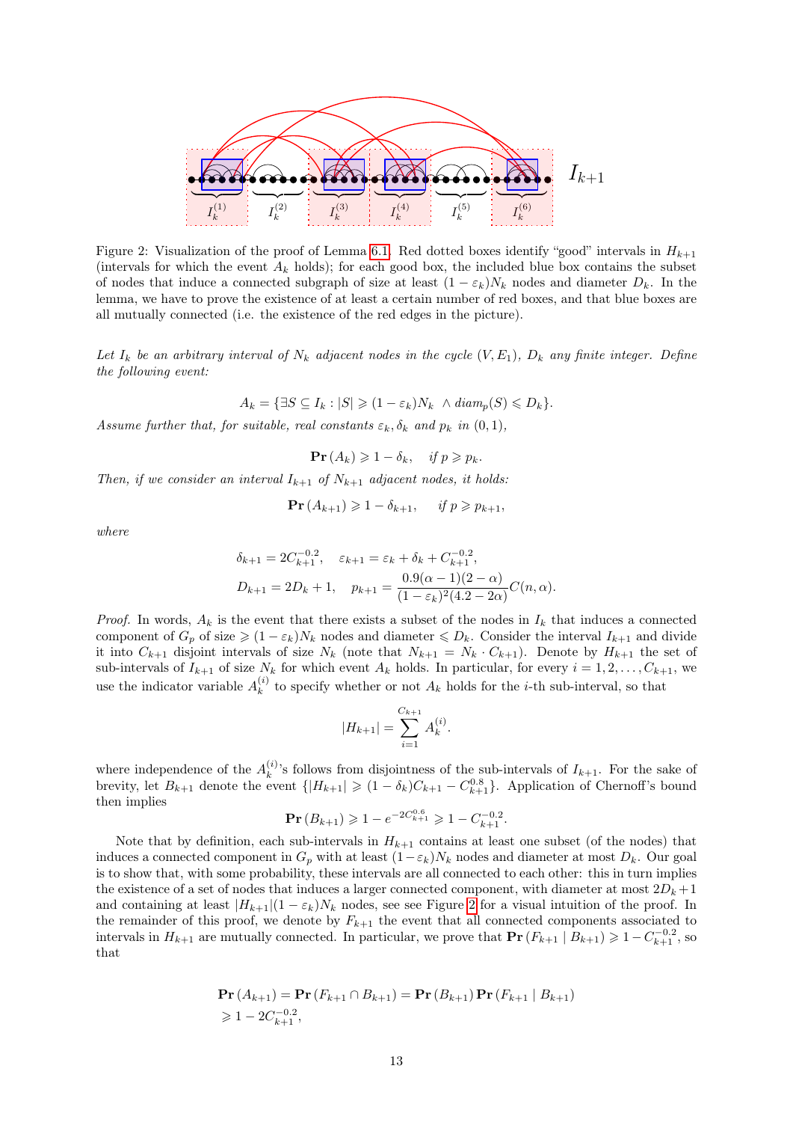

<span id="page-12-0"></span>Figure 2: Visualization of the proof of Lemma [6.1.](#page-11-2) Red dotted boxes identify "good" intervals in  $H_{k+1}$ (intervals for which the event  $A_k$  holds); for each good box, the included blue box contains the subset of nodes that induce a connected subgraph of size at least  $(1 - \varepsilon_k)N_k$  nodes and diameter  $D_k$ . In the lemma, we have to prove the existence of at least a certain number of red boxes, and that blue boxes are all mutually connected (i.e. the existence of the red edges in the picture).

Let  $I_k$  be an arbitrary interval of  $N_k$  adjacent nodes in the cycle  $(V, E_1)$ ,  $D_k$  any finite integer. Define the following event:

 $A_k = \{\exists S \subseteq I_k : |S| \geq (1 - \varepsilon_k)N_k \land diam_n(S) \leq D_k\}.$ 

Assume further that, for suitable, real constants  $\varepsilon_k, \delta_k$  and  $p_k$  in  $(0, 1)$ ,

 $\Pr(A_k) \geq 1 - \delta_k, \quad \text{if } p \geq p_k.$ 

Then, if we consider an interval  $I_{k+1}$  of  $N_{k+1}$  adjacent nodes, it holds:

$$
\mathbf{Pr}\left(A_{k+1}\right) \geqslant 1 - \delta_{k+1}, \quad \text{if } p \geqslant p_{k+1},
$$

where

$$
\delta_{k+1} = 2C_{k+1}^{-0.2}, \quad \varepsilon_{k+1} = \varepsilon_k + \delta_k + C_{k+1}^{-0.2},
$$
  

$$
D_{k+1} = 2D_k + 1, \quad p_{k+1} = \frac{0.9(\alpha - 1)(2 - \alpha)}{(1 - \varepsilon_k)^2 (4.2 - 2\alpha)} C(n, \alpha).
$$

*Proof.* In words,  $A_k$  is the event that there exists a subset of the nodes in  $I_k$  that induces a connected component of  $G_p$  of size  $\geq (1 - \varepsilon_k)N_k$  nodes and diameter  $\leq D_k$ . Consider the interval  $I_{k+1}$  and divide it into  $C_{k+1}$  disjoint intervals of size  $N_k$  (note that  $N_{k+1} = N_k \cdot C_{k+1}$ ). Denote by  $H_{k+1}$  the set of sub-intervals of  $I_{k+1}$  of size  $N_k$  for which event  $A_k$  holds. In particular, for every  $i = 1, 2, \ldots, C_{k+1}$ , we use the indicator variable  $A_k^{(i)}$  $\kappa_k^{(i)}$  to specify whether or not  $A_k$  holds for the *i*-th sub-interval, so that

$$
|H_{k+1}| = \sum_{i=1}^{C_{k+1}} A_k^{(i)}.
$$

where independence of the  $A_k^{(i)}$  $\binom{n}{k}$ 's follows from disjointness of the sub-intervals of  $I_{k+1}$ . For the sake of brevity, let  $B_{k+1}$  denote the event  $\{|H_{k+1}| \geq (1 - \delta_k)C_{k+1} - C_{k+1}^{0.8}\}\.$  Application of Chernoff's bound then implies

$$
\mathbf{Pr}\left(B_{k+1}\right) \geqslant 1 - e^{-2C_{k+1}^{0.6}} \geqslant 1 - C_{k+1}^{-0.2}.
$$

Note that by definition, each sub-intervals in  $H_{k+1}$  contains at least one subset (of the nodes) that induces a connected component in  $G_p$  with at least  $(1-\varepsilon_k)N_k$  nodes and diameter at most  $D_k$ . Our goal is to show that, with some probability, these intervals are all connected to each other: this in turn implies the existence of a set of nodes that induces a larger connected component, with diameter at most  $2D_k + 1$ and containing at least  $|H_{k+1}|(1 - \varepsilon_k)N_k$  nodes, see see Figure [2](#page-12-0) for a visual intuition of the proof. In the remainder of this proof, we denote by  $F_{k+1}$  the event that all connected components associated to intervals in  $H_{k+1}$  are mutually connected. In particular, we prove that  $Pr(F_{k+1} | B_{k+1}) \geq 1 - C_{k+1}^{-0.2}$ , so that

$$
\mathbf{Pr}(A_{k+1}) = \mathbf{Pr}(F_{k+1} \cap B_{k+1}) = \mathbf{Pr}(B_{k+1}) \mathbf{Pr}(F_{k+1} | B_{k+1})
$$
  
\n
$$
\geq 1 - 2C_{k+1}^{-0.2},
$$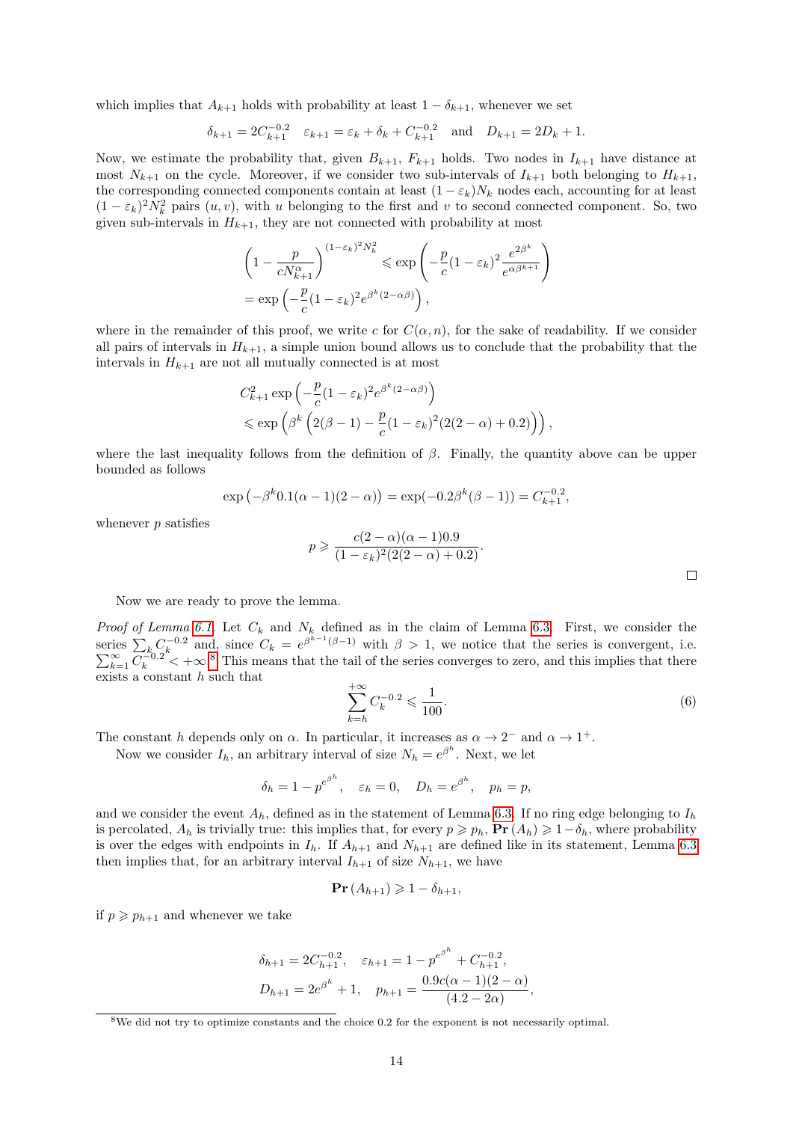which implies that  $A_{k+1}$  holds with probability at least  $1 - \delta_{k+1}$ , whenever we set

$$
\delta_{k+1} = 2C_{k+1}^{-0.2}
$$
  $\varepsilon_{k+1} = \varepsilon_k + \delta_k + C_{k+1}^{-0.2}$  and  $D_{k+1} = 2D_k + 1$ .

Now, we estimate the probability that, given  $B_{k+1}$ ,  $F_{k+1}$  holds. Two nodes in  $I_{k+1}$  have distance at most  $N_{k+1}$  on the cycle. Moreover, if we consider two sub-intervals of  $I_{k+1}$  both belonging to  $H_{k+1}$ , the corresponding connected components contain at least  $(1 - \varepsilon_k)N_k$  nodes each, accounting for at least  $(1 - \varepsilon_k)^2 N_k^2$  pairs  $(u, v)$ , with u belonging to the first and v to second connected component. So, two given sub-intervals in  $H_{k+1}$ , they are not connected with probability at most

$$
\left(1 - \frac{p}{cN_{k+1}^{\alpha}}\right)^{(1-\varepsilon_k)^2 N_k^2} \le \exp\left(-\frac{p}{c}(1-\varepsilon_k)^2 \frac{e^{2\beta^k}}{e^{\alpha\beta^{k+1}}}\right)
$$

$$
= \exp\left(-\frac{p}{c}(1-\varepsilon_k)^2 e^{\beta^k(2-\alpha\beta)}\right),
$$

where in the remainder of this proof, we write c for  $C(\alpha, n)$ , for the sake of readability. If we consider all pairs of intervals in  $H_{k+1}$ , a simple union bound allows us to conclude that the probability that the intervals in  $H_{k+1}$  are not all mutually connected is at most

$$
C_{k+1}^2 \exp\left(-\frac{p}{c}(1-\varepsilon_k)^2 e^{\beta^k(2-\alpha\beta)}\right)
$$
  
\$\leq \exp\left(\beta^k \left(2(\beta-1) - \frac{p}{c}(1-\varepsilon\_k)^2(2(2-\alpha)+0.2)\right)\right),\$

where the last inequality follows from the definition of  $\beta$ . Finally, the quantity above can be upper bounded as follows

$$
\exp(-\beta^{k} 0.1(\alpha - 1)(2 - \alpha)) = \exp(-0.2\beta^{k}(\beta - 1)) = C_{k+1}^{-0.2},
$$

whenever *p* satisfies

$$
p \geqslant \frac{c(2-\alpha)(\alpha-1)0.9}{(1-\varepsilon_k)^2(2(2-\alpha)+0.2)}.
$$

Now we are ready to prove the lemma.

*Proof of Lemma [6.1.](#page-11-2)* Let  $C_k$  and  $N_k$  defined as in the claim of Lemma [6.3.](#page-11-1) First, we consider the series  $\sum_{k_0} C_k^{-0.2}$  and, since  $C_k = e^{\beta^{k-1}(\beta-1)}$ P ries  $\sum_{k=1}^{\infty} C_k^{-0.2}$  and, since  $C_k = e^{\beta^{k-1}(\beta-1)}$  with  $\beta > 1$ , we notice that the series is convergent, i.e.<br> $\sum_{k=1}^{\infty} C_k^{-0.2} < +\infty$ .<sup>[8](#page-13-0)</sup> This means that the tail of the series converges to zero, and this impli exists a constant h such that

<span id="page-13-1"></span>
$$
\sum_{k=h}^{+\infty} C_k^{-0.2} \leqslant \frac{1}{100}.\tag{6}
$$

The constant h depends only on  $\alpha$ . In particular, it increases as  $\alpha \to 2^-$  and  $\alpha \to 1^+$ .

Now we consider  $I_h$ , an arbitrary interval of size  $N_h = e^{\beta^h}$ . Next, we let

$$
\delta_h = 1 - p^{e^{\beta^h}}, \quad \varepsilon_h = 0, \quad D_h = e^{\beta^h}, \quad p_h = p,
$$

and we consider the event  $A_h$ , defined as in the statement of Lemma [6.3.](#page-11-1) If no ring edge belonging to  $I_h$ is percolated,  $A_h$  is trivially true: this implies that, for every  $p \geqslant p_h$ ,  $\Pr(A_h) \geqslant 1-\delta_h$ , where probability is over the edges with endpoints in  $I_h$ . If  $A_{h+1}$  and  $N_{h+1}$  are defined like in its statement, Lemma [6.3](#page-11-1) then implies that, for an arbitrary interval  $I_{h+1}$  of size  $N_{h+1}$ , we have

$$
\mathbf{Pr}\left(A_{h+1}\right) \geqslant 1 - \delta_{h+1},
$$

if  $p \geq p_{h+1}$  and whenever we take

$$
\delta_{h+1} = 2C_{h+1}^{-0.2}, \quad \varepsilon_{h+1} = 1 - p^{e^{\beta^h}} + C_{h+1}^{-0.2},
$$
  

$$
D_{h+1} = 2e^{\beta^h} + 1, \quad p_{h+1} = \frac{0.9c(\alpha - 1)(2 - \alpha)}{(4.2 - 2\alpha)},
$$

<span id="page-13-0"></span><sup>&</sup>lt;sup>8</sup>We did not try to optimize constants and the choice 0.2 for the exponent is not necessarily optimal.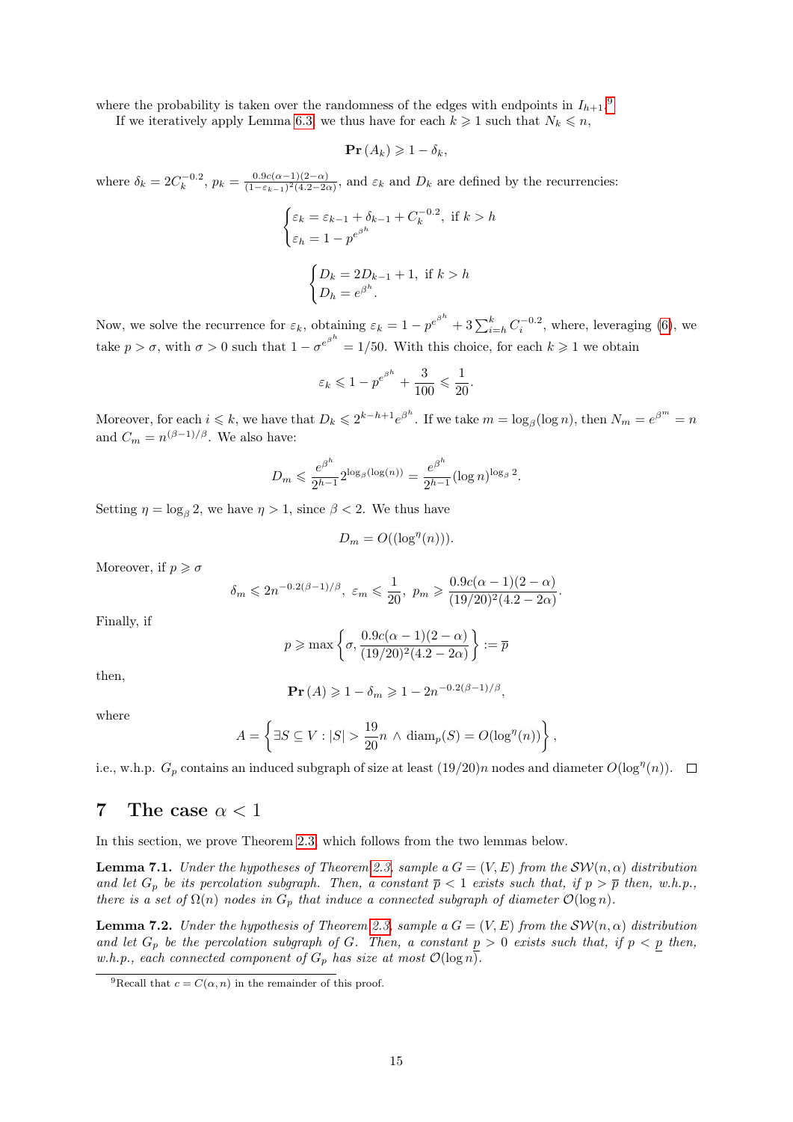where the probability is taken over the randomness of the edges with endpoints in  $I_{h+1}$ .<sup>[9](#page-14-1)</sup> If we iteratively apply Lemma [6.3,](#page-11-1) we thus have for each  $k \geq 1$  such that  $N_k \leq n$ ,

$$
\mathbf{Pr}\left(A_{k}\right) \geqslant 1-\delta_{k},
$$

where  $\delta_k = 2C_k^{-0.2}$ ,  $p_k = \frac{0.9c(\alpha-1)(2-\alpha)}{(1-\epsilon_{k-1})^2(4.2-2\alpha)}$  $\frac{0.9c(\alpha-1)(2-\alpha)}{(1-\epsilon_{k-1})^2(4.2-2\alpha)}$ , and  $\varepsilon_k$  and  $D_k$  are defined by the recurrencies:

$$
\begin{cases} \varepsilon_k = \varepsilon_{k-1} + \delta_{k-1} + C_k^{-0.2}, & \text{if } k > h \\ \varepsilon_h = 1 - p^{e^{\beta^h}} \end{cases}
$$
\n
$$
\begin{cases} D_k = 2D_{k-1} + 1, & \text{if } k > h \\ D_h = e^{\beta^h} . \end{cases}
$$

Now, we solve the recurrence for  $\varepsilon_k$ , obtaining  $\varepsilon_k = 1 - p^{e^{\beta^h}} + 3 \sum_{i=h}^k C_i^{-0.2}$ , where, leveraging [\(6\)](#page-13-1), we take  $p > \sigma$ , with  $\sigma > 0$  such that  $1 - \sigma^{e^{\beta^h}} = 1/50$ . With this choice, for each  $k \geq 1$  we obtain

$$
\varepsilon_k \leq 1 - p^{e^{\beta^h}} + \frac{3}{100} \leq \frac{1}{20}.
$$

Moreover, for each  $i \leq k$ , we have that  $D_k \leq 2^{k-h+1}e^{\beta^h}$ . If we take  $m = \log_\beta(\log n)$ , then  $N_m = e^{\beta^m} = n$ and  $C_m = n^{(\beta - 1)/\beta}$ . We also have:

$$
D_m \leq \frac{e^{\beta^h}}{2^{h-1}} 2^{\log_\beta(\log(n))} = \frac{e^{\beta^h}}{2^{h-1}} (\log n)^{\log_\beta 2}.
$$

Setting  $\eta = \log_{\beta} 2$ , we have  $\eta > 1$ , since  $\beta < 2$ . We thus have

$$
D_m = O((\log^{\eta}(n))).
$$

Moreover, if  $p \geq \sigma$ 

$$
\delta_m \leq 2n^{-0.2(\beta-1)/\beta}, \varepsilon_m \leq \frac{1}{20}, \ p_m \geq \frac{0.9c(\alpha-1)(2-\alpha)}{(19/20)^2(4.2-2\alpha)}
$$

.

Finally, if

$$
p\geqslant \max\left\{\sigma, \frac{0.9 c(\alpha-1)(2-\alpha)}{(19/20)^2(4.2-2\alpha)}\right\}:=\overline{p}
$$

then,

$$
\mathbf{Pr}\left(A\right) \geqslant 1 - \delta_m \geqslant 1 - 2n^{-0.2(\beta - 1)/\beta},
$$

where

$$
A = \left\{ \exists S \subseteq V : |S| > \frac{19}{20}n \wedge \text{diam}_p(S) = O(\log^{n}(n)) \right\},\
$$

i.e., w.h.p.  $G_p$  contains an induced subgraph of size at least  $(19/20)n$  nodes and diameter  $O(\log^n(n))$ .

### <span id="page-14-0"></span>7 The case  $\alpha < 1$

In this section, we prove Theorem [2.3,](#page-4-1) which follows from the two lemmas below.

<span id="page-14-2"></span>**Lemma 7.1.** Under the hypotheses of Theorem [2.3,](#page-4-1) sample a  $G = (V, E)$  from the  $\mathcal{SW}(n, \alpha)$  distribution and let  $G_p$  be its percolation subgraph. Then, a constant  $\overline{p} < 1$  exists such that, if  $p > \overline{p}$  then, w.h.p., there is a set of  $\Omega(n)$  nodes in  $G_p$  that induce a connected subgraph of diameter  $\mathcal{O}(\log n)$ .

<span id="page-14-3"></span>**Lemma 7.2.** Under the hypothesis of Theorem [2.3,](#page-4-1) sample a  $G = (V, E)$  from the  $\mathcal{SW}(n, \alpha)$  distribution and let  $G_p$  be the percolation subgraph of G. Then, a constant  $p > 0$  exists such that, if  $p < p$  then, w.h.p., each connected component of  $G_p$  has size at most  $\mathcal{O}(\log n)$ .

<span id="page-14-1"></span><sup>&</sup>lt;sup>9</sup>Recall that  $c = C(\alpha, n)$  in the remainder of this proof.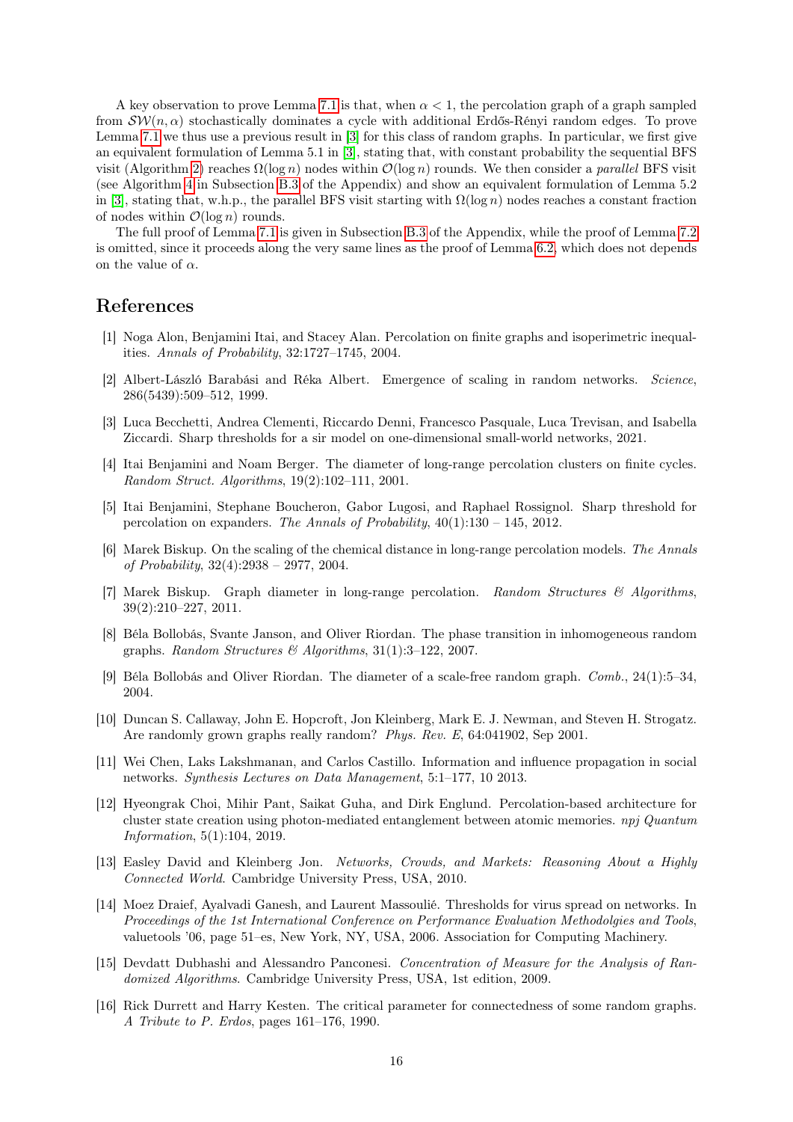A key observation to prove Lemma [7.1](#page-14-2) is that, when  $\alpha < 1$ , the percolation graph of a graph sampled from  $\mathcal{SW}(n, \alpha)$  stochastically dominates a cycle with additional Erdős-Rényi random edges. To prove Lemma [7.1](#page-14-2) we thus use a previous result in [\[3\]](#page-15-8) for this class of random graphs. In particular, we first give an equivalent formulation of Lemma 5.1 in [\[3\]](#page-15-8), stating that, with constant probability the sequential BFS visit (Algorithm [2\)](#page-19-1) reaches  $\Omega(\log n)$  nodes within  $\mathcal{O}(\log n)$  rounds. We then consider a parallel BFS visit (see Algorithm [4](#page-21-0) in Subsection [B.3](#page-20-0) of the Appendix) and show an equivalent formulation of Lemma 5.2 in [\[3\]](#page-15-8), stating that, w.h.p., the parallel BFS visit starting with  $\Omega(\log n)$  nodes reaches a constant fraction of nodes within  $\mathcal{O}(\log n)$  rounds.

The full proof of Lemma [7.1](#page-14-2) is given in Subsection [B.3](#page-20-0) of the Appendix, while the proof of Lemma [7.2](#page-14-3) is omitted, since it proceeds along the very same lines as the proof of Lemma [6.2,](#page-11-5) which does not depends on the value of  $\alpha$ .

### References

- <span id="page-15-0"></span>[1] Noga Alon, Benjamini Itai, and Stacey Alan. Percolation on finite graphs and isoperimetric inequalities. Annals of Probability, 32:1727–1745, 2004.
- <span id="page-15-13"></span>[2] Albert-László Barabási and Réka Albert. Emergence of scaling in random networks. Science, 286(5439):509–512, 1999.
- <span id="page-15-8"></span>[3] Luca Becchetti, Andrea Clementi, Riccardo Denni, Francesco Pasquale, Luca Trevisan, and Isabella Ziccardi. Sharp thresholds for a sir model on one-dimensional small-world networks, 2021.
- <span id="page-15-5"></span>[4] Itai Benjamini and Noam Berger. The diameter of long-range percolation clusters on finite cycles. Random Struct. Algorithms, 19(2):102–111, 2001.
- <span id="page-15-14"></span>[5] Itai Benjamini, Stephane Boucheron, Gabor Lugosi, and Raphael Rossignol. Sharp threshold for percolation on expanders. The Annals of Probability,  $40(1):130 - 145$ ,  $2012$ .
- <span id="page-15-6"></span>[6] Marek Biskup. On the scaling of the chemical distance in long-range percolation models. The Annals of Probability, 32(4):2938 – 2977, 2004.
- <span id="page-15-7"></span>[7] Marek Biskup. Graph diameter in long-range percolation. Random Structures & Algorithms, 39(2):210–227, 2011.
- <span id="page-15-10"></span>[8] Béla Bollobás, Svante Janson, and Oliver Riordan. The phase transition in inhomogeneous random graphs. Random Structures  $\mathcal{B}$  Algorithms, 31(1):3-122, 2007.
- <span id="page-15-12"></span>[9] Béla Bollobás and Oliver Riordan. The diameter of a scale-free random graph. Comb., 24(1):5–34, 2004.
- <span id="page-15-4"></span>[10] Duncan S. Callaway, John E. Hopcroft, Jon Kleinberg, Mark E. J. Newman, and Steven H. Strogatz. Are randomly grown graphs really random? Phys. Rev. E, 64:041902, Sep 2001.
- <span id="page-15-3"></span>[11] Wei Chen, Laks Lakshmanan, and Carlos Castillo. Information and influence propagation in social networks. Synthesis Lectures on Data Management, 5:1–177, 10 2013.
- <span id="page-15-1"></span>[12] Hyeongrak Choi, Mihir Pant, Saikat Guha, and Dirk Englund. Percolation-based architecture for cluster state creation using photon-mediated entanglement between atomic memories. npj Quantum Information, 5(1):104, 2019.
- <span id="page-15-2"></span>[13] Easley David and Kleinberg Jon. Networks, Crowds, and Markets: Reasoning About a Highly Connected World. Cambridge University Press, USA, 2010.
- <span id="page-15-9"></span>[14] Moez Draief, Ayalvadi Ganesh, and Laurent Massoulié. Thresholds for virus spread on networks. In Proceedings of the 1st International Conference on Performance Evaluation Methodolgies and Tools, valuetools '06, page 51–es, New York, NY, USA, 2006. Association for Computing Machinery.
- <span id="page-15-15"></span>[15] Devdatt Dubhashi and Alessandro Panconesi. Concentration of Measure for the Analysis of Randomized Algorithms. Cambridge University Press, USA, 1st edition, 2009.
- <span id="page-15-11"></span>[16] Rick Durrett and Harry Kesten. The critical parameter for connectedness of some random graphs. A Tribute to P. Erdos, pages 161–176, 1990.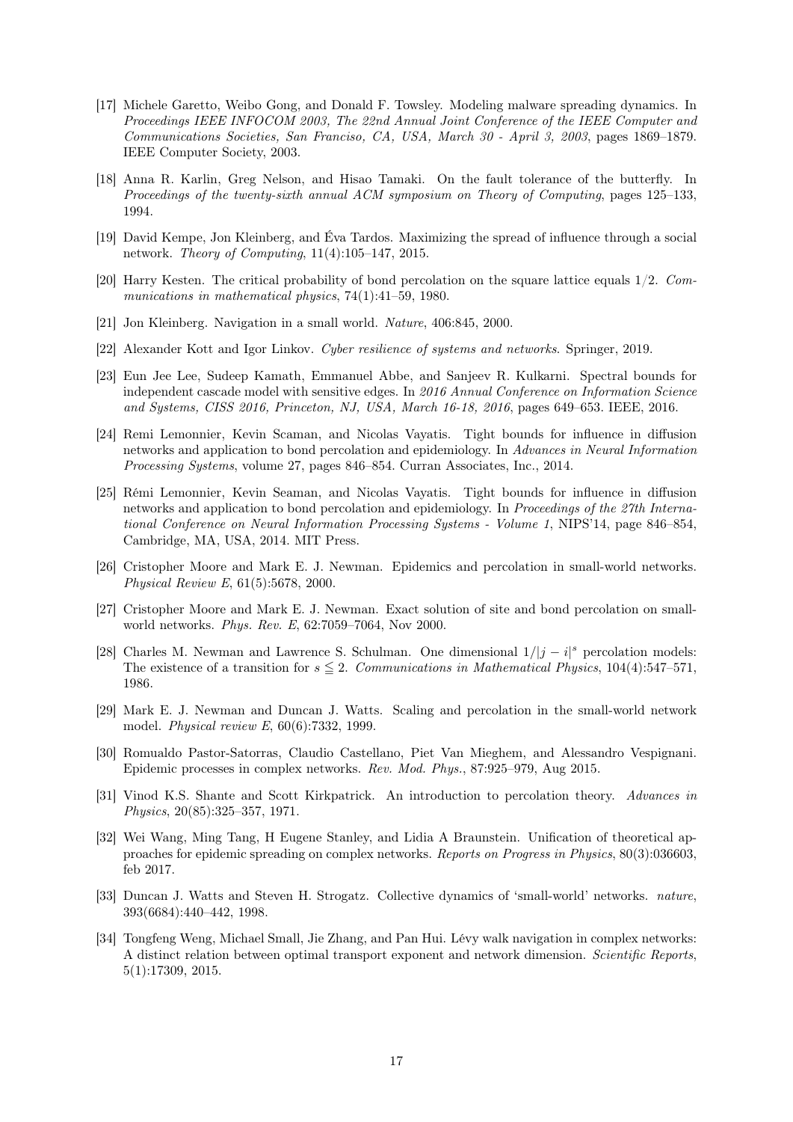- <span id="page-16-9"></span>[17] Michele Garetto, Weibo Gong, and Donald F. Towsley. Modeling malware spreading dynamics. In Proceedings IEEE INFOCOM 2003, The 22nd Annual Joint Conference of the IEEE Computer and Communications Societies, San Franciso, CA, USA, March 30 - April 3, 2003, pages 1869–1879. IEEE Computer Society, 2003.
- <span id="page-16-4"></span>[18] Anna R. Karlin, Greg Nelson, and Hisao Tamaki. On the fault tolerance of the butterfly. In Proceedings of the twenty-sixth annual ACM symposium on Theory of Computing, pages 125–133, 1994.
- <span id="page-16-3"></span>[19] David Kempe, Jon Kleinberg, and Éva Tardos. Maximizing the spread of influence through a social network. Theory of Computing, 11(4):105–147, 2015.
- <span id="page-16-0"></span>[20] Harry Kesten. The critical probability of bond percolation on the square lattice equals 1/2. Communications in mathematical physics, 74(1):41–59, 1980.
- <span id="page-16-11"></span>[21] Jon Kleinberg. Navigation in a small world. Nature, 406:845, 2000.
- <span id="page-16-6"></span>[22] Alexander Kott and Igor Linkov. Cyber resilience of systems and networks. Springer, 2019.
- <span id="page-16-16"></span>[23] Eun Jee Lee, Sudeep Kamath, Emmanuel Abbe, and Sanjeev R. Kulkarni. Spectral bounds for independent cascade model with sensitive edges. In 2016 Annual Conference on Information Science and Systems, CISS 2016, Princeton, NJ, USA, March 16-18, 2016, pages 649–653. IEEE, 2016.
- <span id="page-16-17"></span>[24] Remi Lemonnier, Kevin Scaman, and Nicolas Vayatis. Tight bounds for influence in diffusion networks and application to bond percolation and epidemiology. In Advances in Neural Information Processing Systems, volume 27, pages 846–854. Curran Associates, Inc., 2014.
- <span id="page-16-5"></span>[25] Rémi Lemonnier, Kevin Seaman, and Nicolas Vayatis. Tight bounds for influence in diffusion networks and application to bond percolation and epidemiology. In Proceedings of the 27th International Conference on Neural Information Processing Systems - Volume 1, NIPS'14, page 846–854, Cambridge, MA, USA, 2014. MIT Press.
- <span id="page-16-13"></span>[26] Cristopher Moore and Mark E. J. Newman. Epidemics and percolation in small-world networks. Physical Review E, 61(5):5678, 2000.
- <span id="page-16-15"></span>[27] Cristopher Moore and Mark E. J. Newman. Exact solution of site and bond percolation on smallworld networks. Phys. Rev. E, 62:7059–7064, Nov 2000.
- <span id="page-16-1"></span>[28] Charles M. Newman and Lawrence S. Schulman. One dimensional  $1/|j - i|^s$  percolation models: The existence of a transition for  $s \leq 2$ . Communications in Mathematical Physics, 104(4):547–571, 1986.
- <span id="page-16-14"></span>[29] Mark E. J. Newman and Duncan J. Watts. Scaling and percolation in the small-world network model. Physical review E, 60(6):7332, 1999.
- <span id="page-16-7"></span>[30] Romualdo Pastor-Satorras, Claudio Castellano, Piet Van Mieghem, and Alessandro Vespignani. Epidemic processes in complex networks. Rev. Mod. Phys., 87:925–979, Aug 2015.
- <span id="page-16-2"></span>[31] Vinod K.S. Shante and Scott Kirkpatrick. An introduction to percolation theory. Advances in Physics, 20(85):325–357, 1971.
- <span id="page-16-8"></span>[32] Wei Wang, Ming Tang, H Eugene Stanley, and Lidia A Braunstein. Unification of theoretical approaches for epidemic spreading on complex networks. Reports on Progress in Physics, 80(3):036603, feb 2017.
- <span id="page-16-10"></span>[33] Duncan J. Watts and Steven H. Strogatz. Collective dynamics of 'small-world' networks. nature, 393(6684):440–442, 1998.
- <span id="page-16-12"></span>[34] Tongfeng Weng, Michael Small, Jie Zhang, and Pan Hui. Lévy walk navigation in complex networks: A distinct relation between optimal transport exponent and network dimension. Scientific Reports, 5(1):17309, 2015.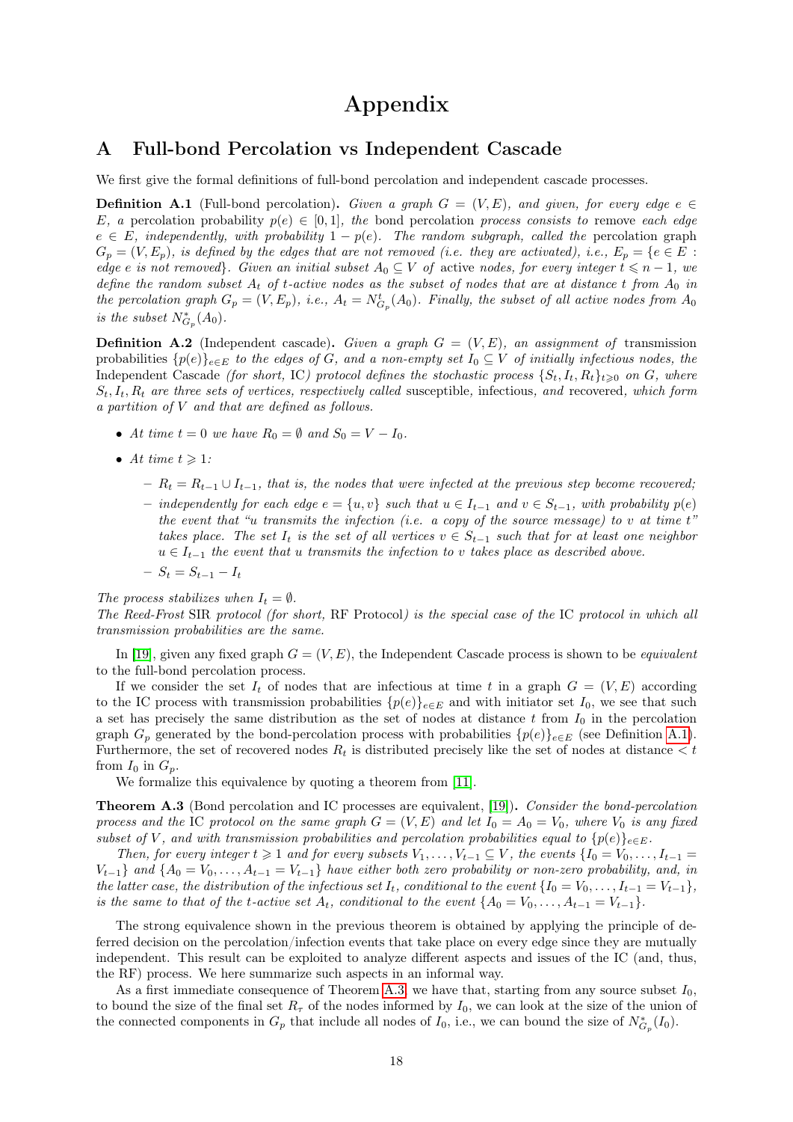# Appendix

### <span id="page-17-0"></span>A Full-bond Percolation vs Independent Cascade

We first give the formal definitions of full-bond percolation and independent cascade processes.

<span id="page-17-1"></span>**Definition A.1** (Full-bond percolation). Given a graph  $G = (V, E)$ , and given, for every edge  $e \in \mathcal{E}$ E, a percolation probability  $p(e) \in [0,1]$ , the bond percolation process consists to remove each edge  $e \in E$ , independently, with probability  $1 - p(e)$ . The random subgraph, called the percolation graph  $G_p = (V, E_p)$ , is defined by the edges that are not removed (i.e. they are activated), i.e.,  $E_p = \{e \in E :$ edge e is not removed}. Given an initial subset  $A_0 \subseteq V$  of active nodes, for every integer  $t \leq n-1$ , we define the random subset  $A_t$  of t-active nodes as the subset of nodes that are at distance t from  $A_0$  in the percolation graph  $G_p = (V, E_p)$ , i.e.,  $A_t = N_{G_p}^t(A_0)$ . Finally, the subset of all active nodes from  $A_0$ is the subset  $N^*_{G_p}(A_0)$ .

**Definition A.2** (Independent cascade). Given a graph  $G = (V, E)$ , an assignment of transmission probabilities  $\{p(e)\}_{e\in E}$  to the edges of G, and a non-empty set  $I_0 \subseteq V$  of initially infectious nodes, the Independent Cascade (for short, IC) protocol defines the stochastic process  $\{S_t, I_t, R_t\}_{t\geq0}$  on G, where  $S_t, I_t, R_t$  are three sets of vertices, respectively called susceptible, infectious, and recovered, which form a partition of V and that are defined as follows.

- At time  $t = 0$  we have  $R_0 = \emptyset$  and  $S_0 = V I_0$ .
- At time  $t \geqslant 1$ :
	- $-R_t = R_{t-1} \cup I_{t-1}$ , that is, the nodes that were infected at the previous step become recovered;
	- independently for each edge  $e = \{u, v\}$  such that  $u \in I_{t-1}$  and  $v \in S_{t-1}$ , with probability  $p(e)$ the event that "u transmits the infection (i.e. a copy of the source message) to  $v$  at time  $t$ " takes place. The set  $I_t$  is the set of all vertices  $v \in S_{t-1}$  such that for at least one neighbor  $u \in I_{t-1}$  the event that u transmits the infection to v takes place as described above.
	- $S_t = S_{t-1} I_t$

The process stabilizes when  $I_t = \emptyset$ .

The Reed-Frost SIR protocol (for short, RF Protocol) is the special case of the IC protocol in which all transmission probabilities are the same.

In [\[19\]](#page-16-3), given any fixed graph  $G = (V, E)$ , the Independent Cascade process is shown to be *equivalent* to the full-bond percolation process.

If we consider the set  $I_t$  of nodes that are infectious at time t in a graph  $G = (V, E)$  according to the IC process with transmission probabilities  $\{p(e)\}_{e\in E}$  and with initiator set  $I_0$ , we see that such a set has precisely the same distribution as the set of nodes at distance  $t$  from  $I_0$  in the percolation graph  $G_p$  generated by the bond-percolation process with probabilities  $\{p(e)\}_{e\in E}$  (see Definition [A.1\)](#page-17-1). Furthermore, the set of recovered nodes  $R_t$  is distributed precisely like the set of nodes at distance  $\lt t$ from  $I_0$  in  $G_p$ .

We formalize this equivalence by quoting a theorem from [\[11\]](#page-15-3).

<span id="page-17-2"></span>Theorem A.3 (Bond percolation and IC processes are equivalent, [\[19\]](#page-16-3)). Consider the bond-percolation process and the IC protocol on the same graph  $G = (V, E)$  and let  $I_0 = A_0 = V_0$ , where  $V_0$  is any fixed subset of V, and with transmission probabilities and percolation probabilities equal to  $\{p(e)\}_{e\in E}$ .

Then, for every integer  $t \geq 1$  and for every subsets  $V_1, \ldots, V_{t-1} \subseteq V$ , the events  $\{I_0 = V_0, \ldots, I_{t-1} =$  $V_{t-1}$  and  $\{A_0 = V_0, \ldots, A_{t-1} = V_{t-1}\}$  have either both zero probability or non-zero probability, and, in the latter case, the distribution of the infectious set  $I_t$ , conditional to the event  $\{I_0 = V_0, \ldots, I_{t-1} = V_{t-1}\}$ , is the same to that of the t-active set  $A_t$ , conditional to the event  $\{A_0 = V_0, \ldots, A_{t-1} = V_{t-1}\}.$ 

The strong equivalence shown in the previous theorem is obtained by applying the principle of deferred decision on the percolation/infection events that take place on every edge since they are mutually independent. This result can be exploited to analyze different aspects and issues of the IC (and, thus, the RF) process. We here summarize such aspects in an informal way.

As a first immediate consequence of Theorem [A.3,](#page-17-2) we have that, starting from any source subset  $I_0$ , to bound the size of the final set  $R_{\tau}$  of the nodes informed by  $I_0$ , we can look at the size of the union of the connected components in  $G_p$  that include all nodes of  $I_0$ , i.e., we can bound the size of  $N^*_{G_p}(I_0)$ .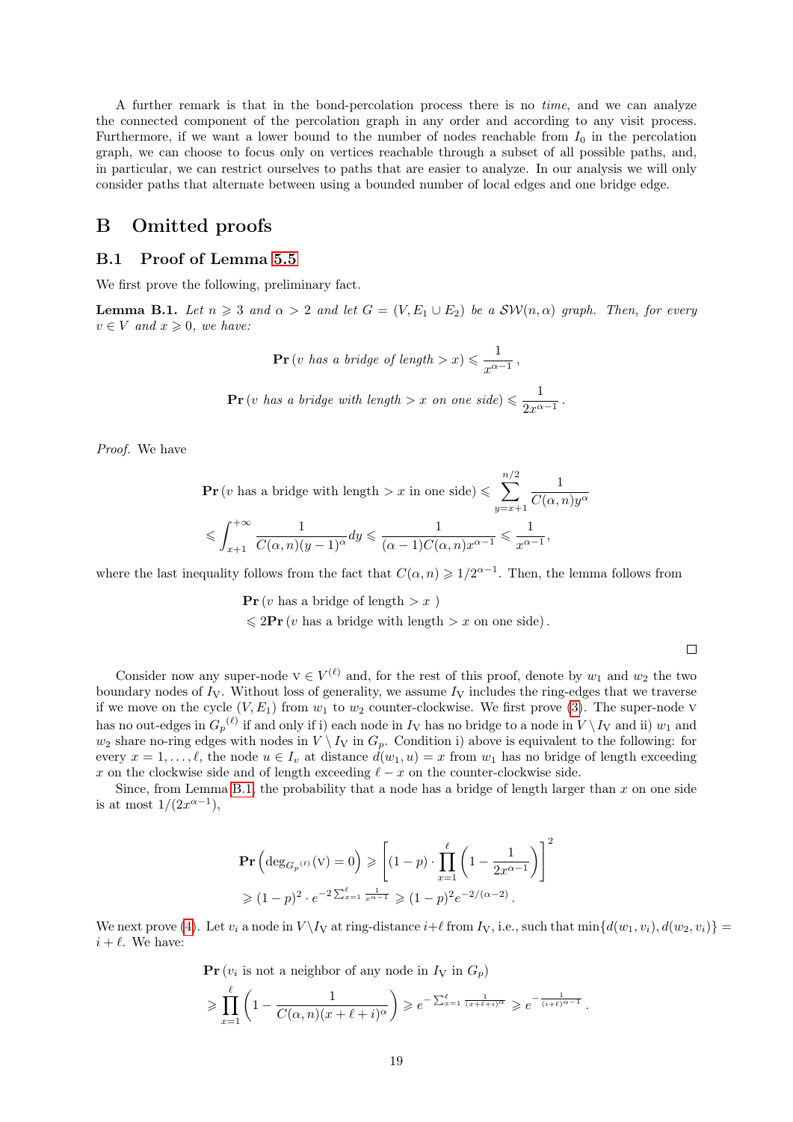A further remark is that in the bond-percolation process there is no time, and we can analyze the connected component of the percolation graph in any order and according to any visit process. Furthermore, if we want a lower bound to the number of nodes reachable from  $I_0$  in the percolation graph, we can choose to focus only on vertices reachable through a subset of all possible paths, and, in particular, we can restrict ourselves to paths that are easier to analyze. In our analysis we will only consider paths that alternate between using a bounded number of local edges and one bridge edge.

### B Omitted proofs

#### <span id="page-18-0"></span>B.1 Proof of Lemma [5.5](#page-9-7)

We first prove the following, preliminary fact.

<span id="page-18-1"></span>**Lemma B.1.** Let  $n \geq 3$  and  $\alpha > 2$  and let  $G = (V, E_1 \cup E_2)$  be a  $\mathcal{SW}(n, \alpha)$  graph. Then, for every  $v \in V$  and  $x \geqslant 0$ , we have:

$$
\mathbf{Pr}\left(v \text{ has a bridge of length} > x\right) \leq \frac{1}{x^{\alpha - 1}},
$$
\n
$$
\mathbf{Pr}\left(v \text{ has a bridge with length} > x \text{ on one side}\right) \leq \frac{1}{2x^{\alpha - 1}}.
$$

Proof. We have

$$
\begin{aligned} &\mathbf{Pr}\left(v \text{ has a bridge with length } > x \text{ in one side}\right) \leqslant \sum_{y=x+1}^{n/2} \frac{1}{C(\alpha, n)y^{\alpha}} \\ &\leqslant \int_{x+1}^{+\infty} \frac{1}{C(\alpha, n)(y-1)^{\alpha}} dy \leqslant \frac{1}{(\alpha-1)C(\alpha, n)x^{\alpha-1}} \leqslant \frac{1}{x^{\alpha-1}}, \end{aligned}
$$

where the last inequality follows from the fact that  $C(\alpha, n) \geq 1/2^{\alpha-1}$ . Then, the lemma follows from

 $\Pr(v \text{ has a bridge of length} > x)$  $\leq 2\mathbf{Pr}(v \text{ has a bridge with length } > x \text{ on one side}).$ 

 $\Box$ 

Consider now any super-node  $v \in V^{(\ell)}$  and, for the rest of this proof, denote by  $w_1$  and  $w_2$  the two boundary nodes of  $I_V$ . Without loss of generality, we assume  $I_V$  includes the ring-edges that we traverse if we move on the cycle  $(V, E_1)$  from  $w_1$  to  $w_2$  counter-clockwise. We first prove [\(3\)](#page-9-5). The super-node v has no out-edges in  $G_p^{(\ell)}$  if and only if i) each node in  $I_V$  has no bridge to a node in  $V \setminus I_V$  and ii)  $w_1$  and  $w_2$  share no-ring edges with nodes in  $V \setminus I_V$  in  $G_p$ . Condition i) above is equivalent to the following: for every  $x = 1, \ldots, \ell$ , the node  $u \in I_v$  at distance  $d(w_1, u) = x$  from  $w_1$  has no bridge of length exceeding x on the clockwise side and of length exceeding  $\ell - x$  on the counter-clockwise side.

Since, from Lemma [B.1,](#page-18-1) the probability that a node has a bridge of length larger than  $x$  on one side is at most  $1/(2x^{\alpha-1}),$ 

$$
\begin{aligned} &\mathbf{Pr}\left(\deg_{G_p^{(\ell)}}(V) = 0\right) \ge \left[ (1-p) \cdot \prod_{x=1}^{\ell} \left(1 - \frac{1}{2x^{\alpha-1}}\right) \right]^2 \\ &\ge (1-p)^2 \cdot e^{-2\sum_{x=1}^{\ell} \frac{1}{x^{\alpha-1}}} \ge (1-p)^2 e^{-2/(\alpha-2)} \,. \end{aligned}
$$

We next prove [\(4\)](#page-9-6). Let  $v_i$  a node in  $V \setminus I_V$  at ring-distance  $i+\ell$  from  $I_V$ , i.e., such that  $\min\{d(w_1, v_i), d(w_2, v_i)\}$  =  $i + \ell$ . We have:

$$
\begin{aligned} &\mathbf{Pr}\left(v_i \text{ is not a neighbor of any node in } I_V \text{ in } G_p\right) \\ &\geq \prod_{x=1}^{\ell} \left(1 - \frac{1}{C(\alpha, n)(x + \ell + i)^{\alpha}}\right) \geqslant e^{-\sum_{x=1}^{\ell} \frac{1}{(x + \ell + i)^{\alpha}}}\geqslant e^{-\frac{1}{(i + \ell)^{\alpha - 1}}} \,. \end{aligned}
$$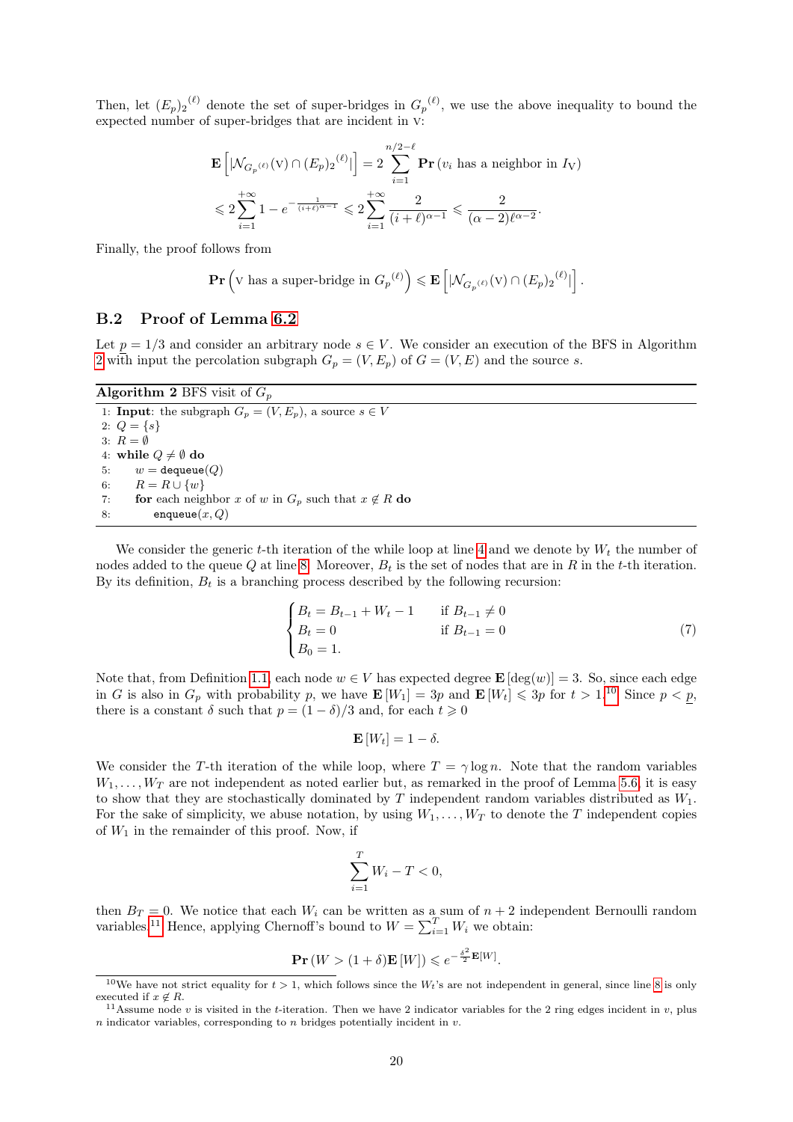Then, let  $(E_p)_2^{(\ell)}$  denote the set of super-bridges in  $G_p^{(\ell)}$ , we use the above inequality to bound the expected number of super-bridges that are incident in v:

$$
\begin{aligned} &\mathbf{E}\left[|\mathcal{N}_{G_p(\ell)}(\mathbf{V}) \cap (E_p)_2^{(\ell)}|\right] = 2 \sum_{i=1}^{n/2-\ell} \mathbf{Pr}\left(v_i \text{ has a neighbor in } I_{\mathbf{V}}\right) \\ &\leqslant 2 \sum_{i=1}^{+\infty} 1 - e^{-\frac{1}{(i+\ell)^{\alpha-1}}} \leqslant 2 \sum_{i=1}^{+\infty} \frac{2}{(i+\ell)^{\alpha-1}} \leqslant \frac{2}{(\alpha-2)\ell^{\alpha-2}}. \end{aligned}
$$

Finally, the proof follows from

$$
\mathbf{Pr}\left(\mathbf{V}\text{ has a super-bridge in }G_p^{(\ell)}\right) \leqslant \mathbf{E}\left[|\mathcal{N}_{G_p^{(\ell)}}(\mathbf{V}) \cap (E_p)_2^{(\ell)}|\right].
$$

### <span id="page-19-0"></span>B.2 Proof of Lemma [6.2](#page-11-5)

Let  $p = 1/3$  and consider an arbitrary node  $s \in V$ . We consider an execution of the BFS in Algorithm [2](#page-19-1) with input the percolation subgraph  $G_p = (V, E_p)$  of  $G = (V, E)$  and the source s.

Algorithm 2 BFS visit of  $G_p$ 

<span id="page-19-1"></span>1: **Input**: the subgraph  $G_p = (V, E_p)$ , a source  $s \in V$ 2:  $Q = \{s\}$ 3:  $R = \emptyset$ 4: while  $Q \neq \emptyset$  do 5:  $w = \text{dequeue}(Q)$ 6:  $R = R \cup \{w\}$ 7: **for** each neighbor x of w in  $G_p$  such that  $x \notin R$  do 8: enqueue $(x, Q)$ 

We consider the generic t-th iteration of the while loop at line [4](#page-19-1) and we denote by  $W_t$  the number of nodes added to the queue  $Q$  at line [8.](#page-19-1) Moreover,  $B_t$  is the set of nodes that are in  $R$  in the t-th iteration. By its definition,  $B_t$  is a branching process described by the following recursion:

$$
\begin{cases}\nB_t = B_{t-1} + W_t - 1 & \text{if } B_{t-1} \neq 0 \\
B_t = 0 & \text{if } B_{t-1} = 0 \\
B_0 = 1.\n\end{cases}
$$
\n(7)

Note that, from Definition [1.1,](#page-2-2) each node  $w \in V$  has expected degree  $\mathbf{E} [\deg(w)] = 3$ . So, since each edge in G is also in  $G_p$  with probability p, we have  $\mathbf{E}[W_1] = 3p$  and  $\mathbf{E}[W_t] \leq 3p$  for  $t > 1.10$  $t > 1.10$  Since  $p < p$ , there is a constant  $\delta$  such that  $p = (1 - \delta)/3$  and, for each  $t \geq 0$ 

$$
\mathbf{E}\left[W_t\right] = 1 - \delta.
$$

We consider the T-th iteration of the while loop, where  $T = \gamma \log n$ . Note that the random variables  $W_1, \ldots, W_T$  are not independent as noted earlier but, as remarked in the proof of Lemma [5.6,](#page-9-2) it is easy to show that they are stochastically dominated by  $T$  independent random variables distributed as  $W_1$ . For the sake of simplicity, we abuse notation, by using  $W_1, \ldots, W_T$  to denote the T independent copies of  $W_1$  in the remainder of this proof. Now, if

$$
\sum_{i=1}^{T} W_i - T < 0,
$$

then  $B_T = 0$ . We notice that each  $W_i$  can be written as a sum of  $n + 2$  independent Bernoulli random variables.<sup>[11](#page-19-3)</sup> Hence, applying Chernoff's bound to  $W = \sum_{i=1}^{T} W_i$  we obtain:

$$
\mathbf{Pr}\left(W > (1+\delta)\mathbf{E}\left[W\right]\right) \leqslant e^{-\frac{\delta^2}{2}\mathbf{E}\left[W\right]}.
$$

<span id="page-19-2"></span><sup>&</sup>lt;sup>10</sup>We have not strict equality for  $t > 1$ , which follows since the  $W_t$ 's are not independent in general, since line [8](#page-19-1) is only executed if  $x \notin R$ .

<span id="page-19-3"></span><sup>&</sup>lt;sup>11</sup>Assume node v is visited in the t-iteration. Then we have 2 indicator variables for the 2 ring edges incident in v, plus  $n$  indicator variables, corresponding to  $n$  bridges potentially incident in  $v$ .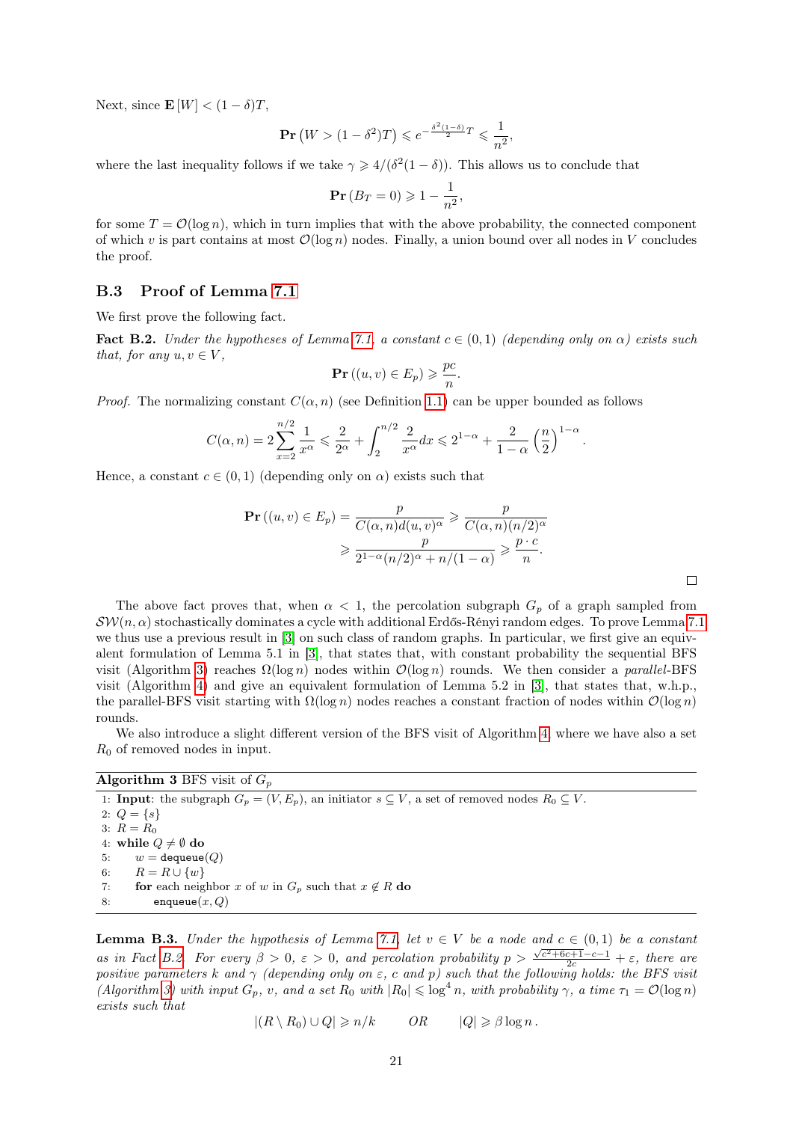Next, since  $\mathbf{E}[W] < (1 - \delta)T$ ,

$$
\mathbf{Pr}\left(W > (1 - \delta^2)T\right) \leqslant e^{-\frac{\delta^2 (1 - \delta)}{2}T} \leqslant \frac{1}{n^2},
$$

where the last inequality follows if we take  $\gamma \geq 4/(\delta^2(1-\delta))$ . This allows us to conclude that

$$
\Pr(B_T = 0) \geq 1 - \frac{1}{n^2},
$$

for some  $T = \mathcal{O}(\log n)$ , which in turn implies that with the above probability, the connected component of which v is part contains at most  $\mathcal{O}(\log n)$  nodes. Finally, a union bound over all nodes in V concludes the proof.

#### <span id="page-20-0"></span>B.3 Proof of Lemma [7.1](#page-14-2)

We first prove the following fact.

<span id="page-20-2"></span>**Fact B.2.** Under the hypotheses of Lemma [7.1,](#page-14-2) a constant  $c \in (0,1)$  (depending only on  $\alpha$ ) exists such that, for any  $u, v \in V$ ,

$$
\mathbf{Pr}\left((u,v)\in E_p\right)\geqslant \frac{pc}{n}.
$$

*Proof.* The normalizing constant  $C(\alpha, n)$  (see Definition [1.1\)](#page-2-2) can be upper bounded as follows

$$
C(\alpha, n) = 2\sum_{x=2}^{n/2} \frac{1}{x^{\alpha}} \leq \frac{2}{2^{\alpha}} + \int_{2}^{n/2} \frac{2}{x^{\alpha}} dx \leq 2^{1-\alpha} + \frac{2}{1-\alpha} \left(\frac{n}{2}\right)^{1-\alpha}.
$$

Hence, a constant  $c \in (0,1)$  (depending only on  $\alpha$ ) exists such that

$$
\begin{aligned} \mathbf{Pr}\left((u,v) \in E_p\right) &= \frac{p}{C(\alpha, n)d(u,v)^\alpha} \geqslant \frac{p}{C(\alpha, n)(n/2)^\alpha} \\ &\geqslant \frac{p}{2^{1-\alpha}(n/2)^\alpha + n/(1-\alpha)} \geqslant \frac{p \cdot c}{n}. \end{aligned}
$$

The above fact proves that, when  $\alpha < 1$ , the percolation subgraph  $G_p$  of a graph sampled from  $\mathcal{SW}(n, \alpha)$  stochastically dominates a cycle with additional Erdős-Rényi random edges. To prove Lemma [7.1](#page-14-2) we thus use a previous result in [\[3\]](#page-15-8) on such class of random graphs. In particular, we first give an equivalent formulation of Lemma 5.1 in [\[3\]](#page-15-8), that states that, with constant probability the sequential BFS visit (Algorithm [3\)](#page-20-1) reaches  $\Omega(\log n)$  nodes within  $\mathcal{O}(\log n)$  rounds. We then consider a *parallel*-BFS visit (Algorithm [4\)](#page-21-0) and give an equivalent formulation of Lemma 5.2 in [\[3\]](#page-15-8), that states that, w.h.p., the parallel-BFS visit starting with  $\Omega(\log n)$  nodes reaches a constant fraction of nodes within  $\mathcal{O}(\log n)$ rounds.

We also introduce a slight different version of the BFS visit of Algorithm [4,](#page-21-0) where we have also a set  $R_0$  of removed nodes in input.

#### **Algorithm 3 BFS** visit of  $G_p$

<span id="page-20-1"></span>1: **Input**: the subgraph  $G_p = (V, E_p)$ , an initiator  $s \subseteq V$ , a set of removed nodes  $R_0 \subseteq V$ . 2:  $Q = \{s\}$ 3:  $R = R_0$ 4: while  $Q \neq \emptyset$  do 5:  $w = \text{dequeue}(Q)$ 6:  $R = R \cup \{w\}$ 7: **for** each neighbor x of w in  $G_p$  such that  $x \notin R$  do 8: enqueue $(x, Q)$ 

<span id="page-20-3"></span>**Lemma B.3.** Under the hypothesis of Lemma [7.1,](#page-14-2) let  $v \in V$  be a node and  $c \in (0,1)$  be a constant as in Fact [B.2.](#page-20-2) For every  $\beta > 0$ ,  $\varepsilon > 0$ , and percolation probability  $p > \frac{\sqrt{c^2 + 6c + 1} - c - 1}{2c} + \varepsilon$ , there are positive parameters k and  $\gamma$  (depending only on  $\varepsilon$ , c and p) such that the following holds: the BFS visit (Algorithm [3\)](#page-20-1) with input  $G_p$ , v, and a set  $R_0$  with  $|R_0| \leqslant \log^4 n$ , with probability  $\gamma$ , a time  $\tau_1 = \mathcal{O}(\log n)$ exists such that

$$
|(R \setminus R_0) \cup Q| \geqslant n/k \qquad OR \qquad |Q| \geqslant \beta \log n.
$$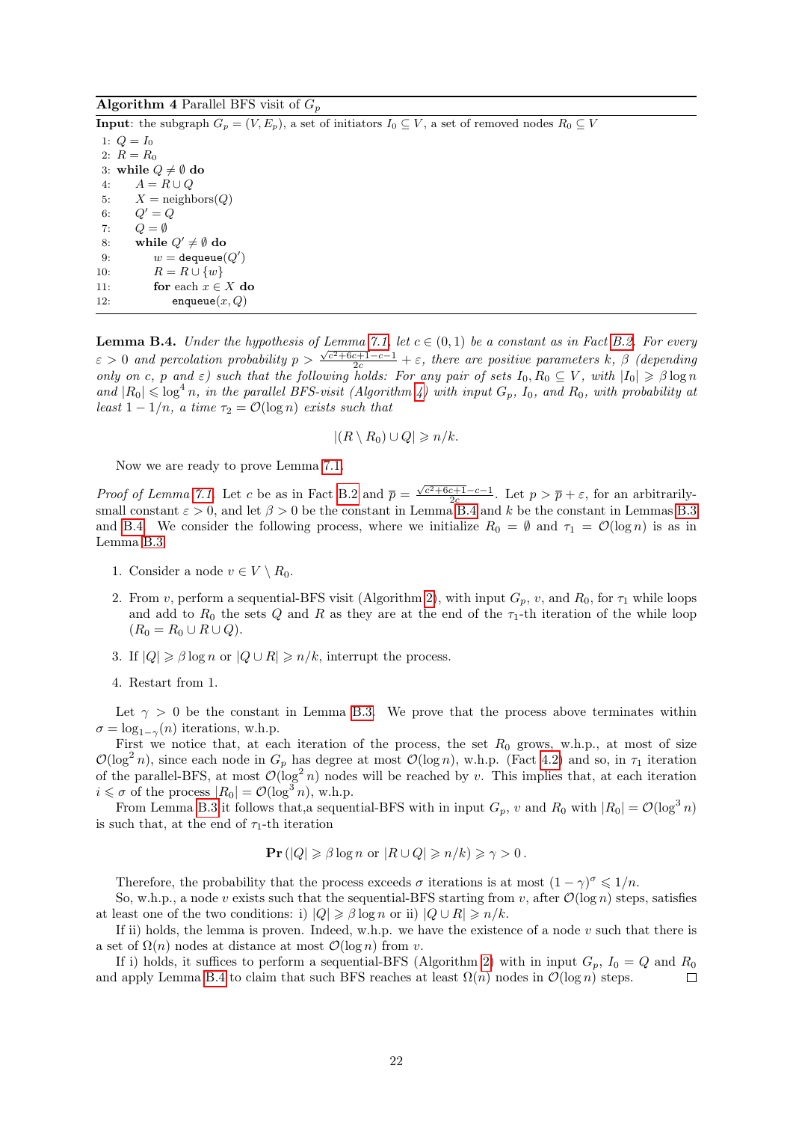### **Algorithm 4** Parallel BFS visit of  $G_p$

<span id="page-21-0"></span>**Input:** the subgraph  $G_p = (V, E_p)$ , a set of initiators  $I_0 \subseteq V$ , a set of removed nodes  $R_0 \subseteq V$ 1:  $Q = I_0$ 2:  $R = R_0$ 3: while  $Q \neq \emptyset$  do 4:  $A = R \cup Q$ 5:  $X = \text{neighbors}(Q)$ 6:  $Q' = Q$ 7:  $Q = \emptyset$ 8: while  $Q' \neq \emptyset$  do 9:  $w = \text{dequeue}(Q')$ 10:  $R = R \cup \{w\}$ 11: for each  $x \in X$  do 12: enqueue $(x, Q)$ 

<span id="page-21-1"></span>**Lemma B.4.** Under the hypothesis of Lemma [7.1,](#page-14-2) let  $c \in (0,1)$  be a constant as in Fact [B.2.](#page-20-2) For every  $\varepsilon > 0$  and percolation probability  $p > \frac{\sqrt{c^2 + 6c + 1} - c - 1}{2c} + \varepsilon$ , there are positive parameters k,  $\beta$  (depending only on c, p and  $\varepsilon$ ) such that the following holds: For any pair of sets  $I_0, R_0 \subseteq V$ , with  $|I_0| \geq \beta \log n$ and  $|R_0| \leq \log^4 n$ , in the parallel BFS-visit (Algorithm [4\)](#page-21-0) with input  $G_p$ ,  $I_0$ , and  $R_0$ , with probability at least  $1 - 1/n$ , a time  $\tau_2 = \mathcal{O}(\log n)$  exists such that

$$
|(R \setminus R_0) \cup Q| \geqslant n/k.
$$

Now we are ready to prove Lemma [7.1.](#page-14-2)

Proof of Lemma [7.1.](#page-14-2) Let c be as in Fact [B.2](#page-20-2) and  $\bar{p} = \frac{\sqrt{c^2 + 6c + 1 - c - 1}}{2c}$ . Let  $p > \bar{p} + \varepsilon$ , for an arbitrarilysmall constant  $\varepsilon > 0$ , and let  $\beta > 0$  be the constant in Lemma [B.4](#page-21-1) and k be the constant in Lemmas [B.3](#page-20-3) and [B.4.](#page-21-1) We consider the following process, where we initialize  $R_0 = \emptyset$  and  $\tau_1 = \mathcal{O}(\log n)$  is as in Lemma [B.3.](#page-20-3)

- 1. Consider a node  $v \in V \setminus R_0$ .
- 2. From v, perform a sequential-BFS visit (Algorithm [2\)](#page-19-1), with input  $G_p$ , v, and  $R_0$ , for  $\tau_1$  while loops and add to  $R_0$  the sets Q and R as they are at the end of the  $\tau_1$ -th iteration of the while loop  $(R_0 = R_0 \cup R \cup Q).$
- 3. If  $|Q| \geq \beta \log n$  or  $|Q \cup R| \geq n/k$ , interrupt the process.
- 4. Restart from 1.

Let  $\gamma > 0$  be the constant in Lemma [B.3.](#page-20-3) We prove that the process above terminates within  $\sigma = \log_{1-\gamma}(n)$  iterations, w.h.p.

First we notice that, at each iteration of the process, the set  $R_0$  grows, w.h.p., at most of size  $\mathcal{O}(\log^2 n)$ , since each node in  $G_p$  has degree at most  $\mathcal{O}(\log n)$ , w.h.p. (Fact [4.2\)](#page-8-5) and so, in  $\tau_1$  iteration of the parallel-BFS, at most  $\mathcal{O}(\log^2 n)$  nodes will be reached by v. This implies that, at each iteration  $i \leq \sigma$  of the process  $|R_0| = \mathcal{O}(\log^3 n)$ , w.h.p.

From Lemma [B.3](#page-20-3) it follows that, a sequential-BFS with in input  $G_p$ , v and  $R_0$  with  $|R_0| = \mathcal{O}(\log^3 n)$ is such that, at the end of  $\tau_1$ -th iteration

$$
\mathbf{Pr}(|Q| \geq \beta \log n \text{ or } |R \cup Q| \geq n/k) \geq \gamma > 0.
$$

Therefore, the probability that the process exceeds  $\sigma$  iterations is at most  $(1 - \gamma)^{\sigma} \leq 1/n$ .

So, w.h.p., a node v exists such that the sequential-BFS starting from v, after  $\mathcal{O}(\log n)$  steps, satisfies at least one of the two conditions: i)  $|Q| \geq \beta \log n$  or ii)  $|Q \cup R| \geq n/k$ .

If ii) holds, the lemma is proven. Indeed, w.h.p. we have the existence of a node  $v$  such that there is a set of  $\Omega(n)$  nodes at distance at most  $\mathcal{O}(\log n)$  from v.

If i) holds, it suffices to perform a sequential-BFS (Algorithm [2\)](#page-19-1) with in input  $G_p$ ,  $I_0 = Q$  and  $R_0$ and apply Lemma [B.4](#page-21-1) to claim that such BFS reaches at least  $\Omega(n)$  nodes in  $\mathcal{O}(\log n)$  steps.  $\Box$